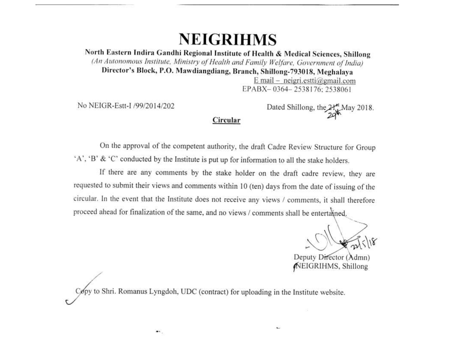# **NEIGRIHMS**

North Eastern Indira Gandhi Regional Institute of Health & Medical Sciences, Shillong (An Autonomous Institute, Ministry of Health and Family Welfare, Government of India) Director's Block, P.O. Mawdiangdiang, Branch, Shillong-793018, Meghalaya

E mail - neigri.estti@gmail.com EPABX-0364-2538176:2538061

No NEIGR-Estt-I /99/2014/202

Dated Shillong, the 2H May 2018.

On the approval of the competent authority, the draft Cadre Review Structure for Group 'A', 'B' & 'C' conducted by the Institute is put up for information to all the stake holders.

Circular

If there are any comments by the stake holder on the draft cadre review, they are requested to submit their views and comments within 10 (ten) days from the date of issuing of the circular. In the event that the Institute does not receive any views / comments, it shall therefore proceed ahead for finalization of the same, and no views / comments shall be entertained.

Deputy Director (Admn) NEIGRIHMS, Shillong

Copy to Shri. Romanus Lyngdoh, UDC (contract) for uploading in the Institute website.

 $\bullet$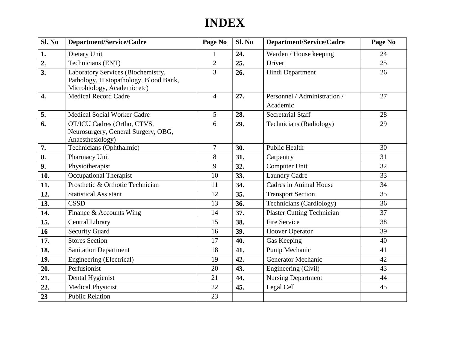## **INDEX**

| Sl. No | Department/Service/Cadre                                                                                    | Page No        | Sl. No | Department/Service/Cadre                 | Page No |
|--------|-------------------------------------------------------------------------------------------------------------|----------------|--------|------------------------------------------|---------|
| 1.     | Dietary Unit                                                                                                | 1              | 24.    | Warden / House keeping                   | 24      |
| 2.     | Technicians (ENT)                                                                                           | $\overline{2}$ | 25.    | Driver                                   | 25      |
| 3.     | Laboratory Services (Biochemistry,<br>Pathology, Histopathology, Blood Bank,<br>Microbiology, Academic etc) | 3              | 26.    | Hindi Department                         | 26      |
| 4.     | <b>Medical Record Cadre</b>                                                                                 | $\overline{4}$ | 27.    | Personnel / Administration /<br>Academic | 27      |
| 5.     | <b>Medical Social Worker Cadre</b>                                                                          | 5              | 28.    | <b>Secretarial Staff</b>                 | 28      |
| 6.     | OT/ICU Cadres (Ortho, CTVS,<br>Neurosurgery, General Surgery, OBG,<br>Anaesthesiology)                      | 6              | 29.    | <b>Technicians</b> (Radiology)           | 29      |
| 7.     | Technicians (Ophthalmic)                                                                                    | $\tau$         | 30.    | <b>Public Health</b>                     | 30      |
| 8.     | Pharmacy Unit                                                                                               | 8              | 31.    | Carpentry                                | 31      |
| 9.     | Physiotherapist                                                                                             | 9              | 32.    | Computer Unit                            | 32      |
| 10.    | <b>Occupational Therapist</b>                                                                               | 10             | 33.    | <b>Laundry Cadre</b>                     | 33      |
| 11.    | Prosthetic & Orthotic Technician                                                                            | 11             | 34.    | <b>Cadres in Animal House</b>            | 34      |
| 12.    | <b>Statistical Assistant</b>                                                                                | 12             | 35.    | <b>Transport Section</b>                 | 35      |
| 13.    | <b>CSSD</b>                                                                                                 | 13             | 36.    | Technicians (Cardiology)                 | 36      |
| 14.    | Finance & Accounts Wing                                                                                     | 14             | 37.    | <b>Plaster Cutting Technician</b>        | 37      |
| 15.    | Central Library                                                                                             | 15             | 38.    | Fire Service                             | 38      |
| 16     | <b>Security Guard</b>                                                                                       | 16             | 39.    | <b>Hoover Operator</b>                   | 39      |
| 17.    | <b>Stores Section</b>                                                                                       | 17             | 40.    | Gas Keeping                              | 40      |
| 18.    | <b>Sanitation Department</b>                                                                                | 18             | 41.    | Pump Mechanic                            | 41      |
| 19.    | Engineering (Electrical)                                                                                    | 19             | 42.    | <b>Generator Mechanic</b>                | 42      |
| 20.    | Perfusionist                                                                                                | 20             | 43.    | Engineering (Civil)                      | 43      |
| 21.    | Dental Hygienist                                                                                            | 21             | 44.    | <b>Nursing Department</b>                | 44      |
| 22.    | <b>Medical Physicist</b>                                                                                    | 22             | 45.    | Legal Cell                               | 45      |
| 23     | <b>Public Relation</b>                                                                                      | 23             |        |                                          |         |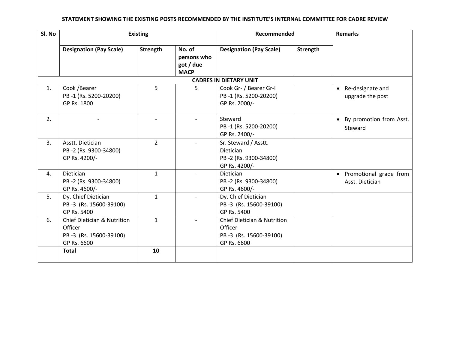| SI. No | <b>Existing</b>                                                                                            |                    |                                                   |                                                                                    |          | Recommended                                 |  | <b>Remarks</b> |  |  |
|--------|------------------------------------------------------------------------------------------------------------|--------------------|---------------------------------------------------|------------------------------------------------------------------------------------|----------|---------------------------------------------|--|----------------|--|--|
|        | <b>Designation (Pay Scale)</b>                                                                             | Strength           | No. of<br>persons who<br>got / due<br><b>MACP</b> | <b>Designation (Pay Scale)</b>                                                     | Strength |                                             |  |                |  |  |
|        | <b>CADRES IN DIETARY UNIT</b>                                                                              |                    |                                                   |                                                                                    |          |                                             |  |                |  |  |
| 1.     | Cook / Bearer<br>PB-1 (Rs. 5200-20200)<br>GP Rs. 1800                                                      | 5                  | 5                                                 | Cook Gr-I/ Bearer Gr-I<br>PB-1 (Rs. 5200-20200)<br>GP Rs. 2000/-                   |          | • Re-designate and<br>upgrade the post      |  |                |  |  |
| 2.     |                                                                                                            |                    |                                                   | Steward<br>PB-1 (Rs. 5200-20200)<br>GP Rs. 2400/-                                  |          | • By promotion from Asst.<br>Steward        |  |                |  |  |
| 3.     | Asstt. Dietician<br>PB-2 (Rs. 9300-34800)<br>GP Rs. 4200/-                                                 | $\overline{2}$     |                                                   | Sr. Steward / Asstt.<br><b>Dietician</b><br>PB-2 (Rs. 9300-34800)<br>GP Rs. 4200/- |          |                                             |  |                |  |  |
| 4.     | Dietician<br>PB-2 (Rs. 9300-34800)<br>GP Rs. 4600/-                                                        | $\mathbf{1}$       |                                                   | Dietician<br>PB-2 (Rs. 9300-34800)<br>GP Rs. 4600/-                                |          | • Promotional grade from<br>Asst. Dietician |  |                |  |  |
| 5.     | Dy. Chief Dietician<br>PB-3 (Rs. 15600-39100)<br>GP Rs. 5400                                               | $\mathbf{1}$       |                                                   | Dy. Chief Dietician<br>PB-3 (Rs. 15600-39100)<br>GP Rs. 5400                       |          |                                             |  |                |  |  |
| 6.     | <b>Chief Dietician &amp; Nutrition</b><br>Officer<br>PB-3 (Rs. 15600-39100)<br>GP Rs. 6600<br><b>Total</b> | $\mathbf{1}$<br>10 |                                                   | Chief Dietician & Nutrition<br>Officer<br>PB-3 (Rs. 15600-39100)<br>GP Rs. 6600    |          |                                             |  |                |  |  |
|        |                                                                                                            |                    |                                                   |                                                                                    |          |                                             |  |                |  |  |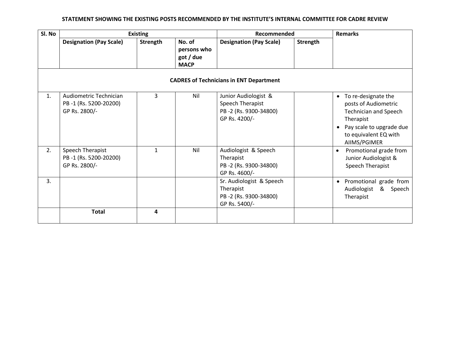| Sl. No |                                                                  | <b>Existing</b> |                                                   | Recommended                                                                        |          | <b>Remarks</b>                                                                                                                                                  |  |  |  |
|--------|------------------------------------------------------------------|-----------------|---------------------------------------------------|------------------------------------------------------------------------------------|----------|-----------------------------------------------------------------------------------------------------------------------------------------------------------------|--|--|--|
|        | <b>Designation (Pay Scale)</b>                                   | Strength        | No. of<br>persons who<br>got / due<br><b>MACP</b> | <b>Designation (Pay Scale)</b>                                                     | Strength |                                                                                                                                                                 |  |  |  |
|        | <b>CADRES of Technicians in ENT Department</b>                   |                 |                                                   |                                                                                    |          |                                                                                                                                                                 |  |  |  |
| 1.     | Audiometric Technician<br>PB-1 (Rs. 5200-20200)<br>GP Rs. 2800/- | 3               | Nil                                               | Junior Audiologist &<br>Speech Therapist<br>PB-2 (Rs. 9300-34800)<br>GP Rs. 4200/- |          | • To re-designate the<br>posts of Audiometric<br><b>Technician and Speech</b><br>Therapist<br>Pay scale to upgrade due<br>to equivalent EQ with<br>AIIMS/PGIMER |  |  |  |
| 2.     | Speech Therapist<br>PB-1 (Rs. 5200-20200)<br>GP Rs. 2800/-       | 1               | Nil                                               | Audiologist & Speech<br>Therapist<br>PB-2 (Rs. 9300-34800)<br>GP Rs. 4600/-        |          | Promotional grade from<br>$\bullet$<br>Junior Audiologist &<br>Speech Therapist                                                                                 |  |  |  |
| 3.     |                                                                  |                 |                                                   | Sr. Audiologist & Speech<br>Therapist<br>PB-2 (Rs. 9300-34800)<br>GP Rs. 5400/-    |          | Promotional grade from<br>$\bullet$<br>Audiologist & Speech<br>Therapist                                                                                        |  |  |  |
|        | <b>Total</b>                                                     | 4               |                                                   |                                                                                    |          |                                                                                                                                                                 |  |  |  |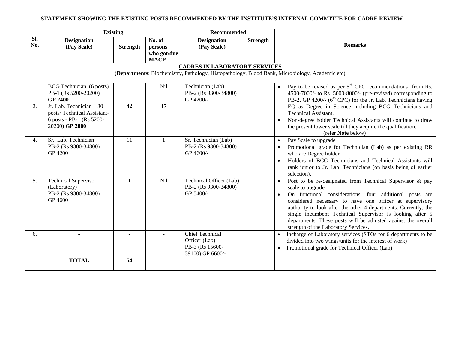|            | <b>Existing</b>                                                                                |                 |                                                 | <b>Recommended</b>                                                             |                 |                                                                                                                                                                                                                                                                                                                                                                                                                                                         |
|------------|------------------------------------------------------------------------------------------------|-----------------|-------------------------------------------------|--------------------------------------------------------------------------------|-----------------|---------------------------------------------------------------------------------------------------------------------------------------------------------------------------------------------------------------------------------------------------------------------------------------------------------------------------------------------------------------------------------------------------------------------------------------------------------|
| SI.<br>No. | <b>Designation</b><br>(Pay Scale)                                                              | <b>Strength</b> | No. of<br>persons<br>who got/due<br><b>MACP</b> | <b>Designation</b><br>(Pay Scale)                                              | <b>Strength</b> | <b>Remarks</b>                                                                                                                                                                                                                                                                                                                                                                                                                                          |
|            |                                                                                                |                 |                                                 | <b>CADRES IN LABORATORY SERVICES</b>                                           |                 |                                                                                                                                                                                                                                                                                                                                                                                                                                                         |
|            |                                                                                                |                 |                                                 |                                                                                |                 | (Departments: Biochemistry, Pathology, Histopathology, Blood Bank, Microbiology, Academic etc)                                                                                                                                                                                                                                                                                                                                                          |
| 1.<br>2.   | BCG Technician (6 posts)<br>PB-1 (Rs 5200-20200)<br><b>GP 2400</b><br>Jr. Lab. Technician - 30 | 42              | Nil<br>17                                       | Technician (Lab)<br>PB-2 (Rs 9300-34800)<br>GP 4200/-                          |                 | Pay to be revised as per $5th$ CPC recommendations from Rs.<br>$\bullet$<br>4500-7000/- to Rs. 5000-8000/- (pre-revised) corresponding to<br>PB-2, GP 4200/- (6 <sup>th</sup> CPC) for the Jr. Lab. Technicians having<br>EQ as Degree in Science including BCG Technicians and                                                                                                                                                                         |
|            | posts/Technical Assistant-<br>6 posts - PB-1 (Rs 5200-<br>20200) GP 2800                       |                 |                                                 |                                                                                |                 | <b>Technical Assistant.</b><br>Non-degree holder Technical Assistants will continue to draw<br>the present lower scale till they acquire the qualification.<br>(refer Note below)                                                                                                                                                                                                                                                                       |
| 4.         | Sr. Lab. Technician<br>PB-2 (Rs 9300-34800)<br>GP 4200                                         | 11              | $\mathbf{1}$                                    | Sr. Technician (Lab)<br>PB-2 (Rs 9300-34800)<br>GP 4600/-                      |                 | Pay Scale to upgrade<br>$\bullet$<br>Promotional grade for Technician (Lab) as per existing RR<br>who are Degree holder.<br>Holders of BCG Technicians and Technical Assistants will<br>rank junior to Jr. Lab. Technicians (on basis being of earlier<br>selection).                                                                                                                                                                                   |
| 5.         | <b>Technical Supervisor</b><br>(Laboratory)<br>PB-2 (Rs 9300-34800)<br>GP 4600                 |                 | Nil                                             | Technical Officer (Lab)<br>PB-2 (Rs 9300-34800)<br>GP 5400/-                   |                 | Post to be re-designated from Technical Supervisor & pay<br>scale to upgrade<br>On functional considerations, four additional posts are<br>$\bullet$<br>considered necessary to have one officer at supervisory<br>authority to look after the other 4 departments. Currently, the<br>single incumbent Technical Supervisor is looking after 5<br>departments. These posts will be adjusted against the overall<br>strength of the Laboratory Services. |
| 6.         |                                                                                                |                 | $\sim$                                          | <b>Chief Technical</b><br>Officer (Lab)<br>PB-3 (Rs 15600-<br>39100) GP 6600/- |                 | Incharge of Laboratory services (STOs for 6 departments to be<br>divided into two wings/units for the interest of work)<br>Promotional grade for Technical Officer (Lab)                                                                                                                                                                                                                                                                                |
|            | <b>TOTAL</b>                                                                                   | 54              |                                                 |                                                                                |                 |                                                                                                                                                                                                                                                                                                                                                                                                                                                         |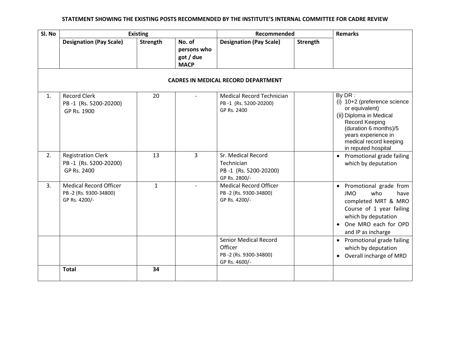| Sl. No |                                                                         | <b>Existing</b> |                                                   | Recommended                                                                       | <b>Remarks</b>  |                                                                                                                                                                                                        |  |  |  |
|--------|-------------------------------------------------------------------------|-----------------|---------------------------------------------------|-----------------------------------------------------------------------------------|-----------------|--------------------------------------------------------------------------------------------------------------------------------------------------------------------------------------------------------|--|--|--|
|        | <b>Designation (Pay Scale)</b>                                          | <b>Strength</b> | No. of<br>persons who<br>got / due<br><b>MACP</b> | <b>Designation (Pay Scale)</b>                                                    | <b>Strength</b> |                                                                                                                                                                                                        |  |  |  |
|        | <b>CADRES IN MEDICAL RECORD DEPARTMENT</b>                              |                 |                                                   |                                                                                   |                 |                                                                                                                                                                                                        |  |  |  |
| 1.     | <b>Record Clerk</b><br>PB-1 (Rs. 5200-20200)<br>GP Rs. 1900             | 20              |                                                   | <b>Medical Record Technician</b><br>PB-1 (Rs. 5200-20200)<br>GP Rs. 2400          |                 | By DR:<br>(i) 10+2 (preference science<br>or equivalent)<br>(ii) Diploma in Medical<br>Record Keeping<br>(duration 6 months)/5<br>years experience in<br>medical record keeping<br>in reputed hospital |  |  |  |
| 2.     | <b>Registration Clerk</b><br>PB-1 (Rs. 5200-20200)<br>GP Rs. 2400       | 13              | 3                                                 | Sr. Medical Record<br>Technician<br>PB-1 (Rs. 5200-20200)<br>GP Rs. 2800/-        |                 | • Promotional grade failing<br>which by deputation                                                                                                                                                     |  |  |  |
| 3.     | <b>Medical Record Officer</b><br>PB-2 (Rs. 9300-34800)<br>GP Rs. 4200/- | $\mathbf{1}$    |                                                   | <b>Medical Record Officer</b><br>PB-2 (Rs. 9300-34800)<br>GP Rs. 4200/-           |                 | • Promotional grade from<br><b>JMO</b><br>who<br>have<br>completed MRT & MRO<br>Course of 1 year failing<br>which by deputation<br>• One MRO each for OPD<br>and IP as incharge                        |  |  |  |
|        |                                                                         |                 |                                                   | <b>Senior Medical Record</b><br>Officer<br>PB-2 (Rs. 9300-34800)<br>GP Rs. 4600/- |                 | • Promotional grade failing<br>which by deputation<br>• Overall incharge of MRD                                                                                                                        |  |  |  |
|        | <b>Total</b>                                                            | 34              |                                                   |                                                                                   |                 |                                                                                                                                                                                                        |  |  |  |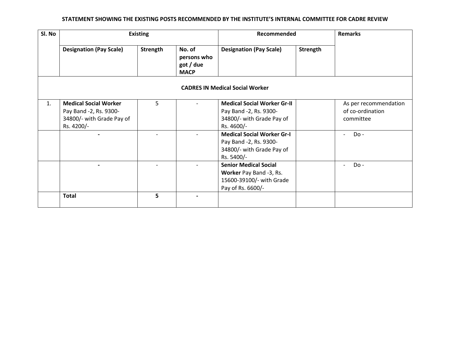| Sl. No | <b>Existing</b>                                                                                   |                | Recommended                                       |                                                                                                          | <b>Remarks</b>  |                                                        |
|--------|---------------------------------------------------------------------------------------------------|----------------|---------------------------------------------------|----------------------------------------------------------------------------------------------------------|-----------------|--------------------------------------------------------|
|        | <b>Designation (Pay Scale)</b>                                                                    | Strength       | No. of<br>persons who<br>got / due<br><b>MACP</b> | <b>Designation (Pay Scale)</b>                                                                           | <b>Strength</b> |                                                        |
|        |                                                                                                   |                |                                                   | <b>CADRES IN Medical Social Worker</b>                                                                   |                 |                                                        |
| 1.     | <b>Medical Social Worker</b><br>Pay Band -2, Rs. 9300-<br>34800/- with Grade Pay of<br>Rs. 4200/- | 5 <sup>5</sup> |                                                   | <b>Medical Social Worker Gr-II</b><br>Pay Band -2, Rs. 9300-<br>34800/- with Grade Pay of<br>Rs. 4600/-  |                 | As per recommendation<br>of co-ordination<br>committee |
|        |                                                                                                   |                |                                                   | <b>Medical Social Worker Gr-I</b><br>Pay Band -2, Rs. 9300-<br>34800/- with Grade Pay of<br>Rs. 5400/-   |                 | Do-<br>$\overline{a}$                                  |
|        |                                                                                                   |                |                                                   | <b>Senior Medical Social</b><br>Worker Pay Band -3, Rs.<br>15600-39100/- with Grade<br>Pay of Rs. 6600/- |                 | Do-<br>$\overline{\phantom{0}}$                        |
|        | <b>Total</b>                                                                                      | 5              |                                                   |                                                                                                          |                 |                                                        |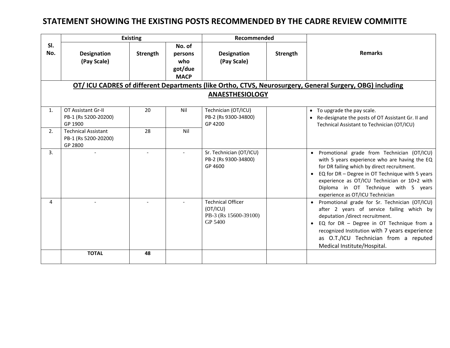### **STATEMENT SHOWING THE EXISTING POSTS RECOMMENDED BY THE CADRE REVIEW COMMITTE**

|                | <b>Existing</b>                                                                                          |          |                                                    | Recommended                                                              |          |                                                                                                                                                                                                                                                                                                                                         |  |  |  |  |  |
|----------------|----------------------------------------------------------------------------------------------------------|----------|----------------------------------------------------|--------------------------------------------------------------------------|----------|-----------------------------------------------------------------------------------------------------------------------------------------------------------------------------------------------------------------------------------------------------------------------------------------------------------------------------------------|--|--|--|--|--|
| SI.<br>No.     | <b>Designation</b><br>(Pay Scale)                                                                        | Strength | No. of<br>persons<br>who<br>got/due<br><b>MACP</b> | <b>Designation</b><br>(Pay Scale)                                        | Strength | <b>Remarks</b>                                                                                                                                                                                                                                                                                                                          |  |  |  |  |  |
|                | OT/ ICU CADRES of different Departments (like Ortho, CTVS, Neurosurgery, General Surgery, OBG) including |          |                                                    |                                                                          |          |                                                                                                                                                                                                                                                                                                                                         |  |  |  |  |  |
|                | <b>ANAESTHESIOLOGY</b>                                                                                   |          |                                                    |                                                                          |          |                                                                                                                                                                                                                                                                                                                                         |  |  |  |  |  |
| $\mathbf{1}$ . | OT Assistant Gr-II<br>PB-1 (Rs 5200-20200)<br>GP 1900                                                    | 20       | Nil                                                | Technician (OT/ICU)<br>PB-2 (Rs 9300-34800)<br>GP 4200                   |          | • To upgrade the pay scale.<br>• Re-designate the posts of OT Assistant Gr. II and<br>Technical Assistant to Technician (OT/ICU)                                                                                                                                                                                                        |  |  |  |  |  |
| 2.             | <b>Technical Assistant</b><br>PB-1 (Rs 5200-20200)<br>GP 2800                                            | 28       | Nil                                                |                                                                          |          |                                                                                                                                                                                                                                                                                                                                         |  |  |  |  |  |
| 3.             |                                                                                                          |          |                                                    | Sr. Technician (OT/ICU)<br>PB-2 (Rs 9300-34800)<br>GP 4600               |          | · Promotional grade from Technician (OT/ICU)<br>with 5 years experience who are having the EQ<br>for DR failing which by direct recruitment.<br>EQ for DR - Degree in OT Technique with 5 years<br>$\bullet$<br>experience as OT/ICU Technician or 10+2 with<br>Diploma in OT Technique with 5 years<br>experience as OT/ICU Technician |  |  |  |  |  |
| 4              |                                                                                                          |          |                                                    | <b>Technical Officer</b><br>(OT/ICU)<br>PB-3 (Rs 15600-39100)<br>GP 5400 |          | • Promotional grade for Sr. Technician (OT/ICU)<br>after 2 years of service failing which by<br>deputation /direct recruitment.<br>EQ for DR - Degree in OT Technique from a<br>$\bullet$<br>recognized Institution with 7 years experience<br>as O.T./ICU Technician from a reputed<br>Medical Institute/Hospital.                     |  |  |  |  |  |
|                | <b>TOTAL</b>                                                                                             | 48       |                                                    |                                                                          |          |                                                                                                                                                                                                                                                                                                                                         |  |  |  |  |  |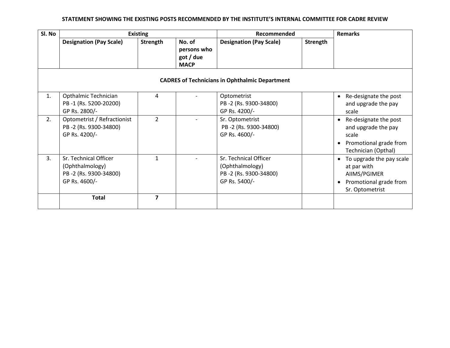| Sl. No |                                                                                    | <b>Existing</b>         |                                                   | Recommended                                                                        |          | <b>Remarks</b>                                                                                                      |  |  |  |
|--------|------------------------------------------------------------------------------------|-------------------------|---------------------------------------------------|------------------------------------------------------------------------------------|----------|---------------------------------------------------------------------------------------------------------------------|--|--|--|
|        | <b>Designation (Pay Scale)</b>                                                     | Strength                | No. of<br>persons who<br>got / due<br><b>MACP</b> | <b>Designation (Pay Scale)</b>                                                     | Strength |                                                                                                                     |  |  |  |
|        | <b>CADRES of Technicians in Ophthalmic Department</b>                              |                         |                                                   |                                                                                    |          |                                                                                                                     |  |  |  |
| 1.     | Opthalmic Technician<br>PB-1 (Rs. 5200-20200)<br>GP Rs. 2800/-                     | 4                       |                                                   | Optometrist<br>PB-2 (Rs. 9300-34800)<br>GP Rs. 4200/-                              |          | Re-designate the post<br>$\bullet$<br>and upgrade the pay<br>scale                                                  |  |  |  |
| 2.     | Optometrist / Refractionist<br>PB-2 (Rs. 9300-34800)<br>GP Rs. 4200/-              | $\overline{2}$          |                                                   | Sr. Optometrist<br>PB-2 (Rs. 9300-34800)<br>GP Rs. 4600/-                          |          | Re-designate the post<br>$\bullet$<br>and upgrade the pay<br>scale<br>Promotional grade from<br>Technician (Opthal) |  |  |  |
| 3.     | Sr. Technical Officer<br>(Ophthalmology)<br>PB-2 (Rs. 9300-34800)<br>GP Rs. 4600/- | $\mathbf{1}$            |                                                   | Sr. Technical Officer<br>(Ophthalmology)<br>PB-2 (Rs. 9300-34800)<br>GP Rs. 5400/- |          | To upgrade the pay scale<br>at par with<br>AIIMS/PGIMER<br>Promotional grade from<br>Sr. Optometrist                |  |  |  |
|        | <b>Total</b>                                                                       | $\overline{\mathbf{z}}$ |                                                   |                                                                                    |          |                                                                                                                     |  |  |  |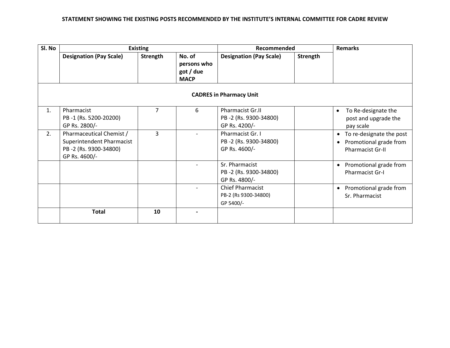| Sl. No                         |                                                                                                 | <b>Existing</b> |                                                   | Recommended                                                       |          | <b>Remarks</b>                                                                             |  |  |
|--------------------------------|-------------------------------------------------------------------------------------------------|-----------------|---------------------------------------------------|-------------------------------------------------------------------|----------|--------------------------------------------------------------------------------------------|--|--|
|                                | <b>Designation (Pay Scale)</b>                                                                  | Strength        | No. of<br>persons who<br>got / due<br><b>MACP</b> | <b>Designation (Pay Scale)</b>                                    | Strength |                                                                                            |  |  |
| <b>CADRES in Pharmacy Unit</b> |                                                                                                 |                 |                                                   |                                                                   |          |                                                                                            |  |  |
| $\mathbf{1}$ .                 | Pharmacist<br>PB-1 (Rs. 5200-20200)<br>GP Rs. 2800/-                                            | 7               | 6                                                 | <b>Pharmacist Gr.II</b><br>PB-2 (Rs. 9300-34800)<br>GP Rs. 4200/- |          | To Re-designate the<br>post and upgrade the<br>pay scale                                   |  |  |
| 2.                             | Pharmaceutical Chemist /<br>Superintendent Pharmacist<br>PB-2 (Rs. 9300-34800)<br>GP Rs. 4600/- | 3               |                                                   | Pharmacist Gr. I<br>PB-2 (Rs. 9300-34800)<br>GP Rs. 4600/-        |          | To re-designate the post<br>$\bullet$<br>Promotional grade from<br><b>Pharmacist Gr-II</b> |  |  |
|                                |                                                                                                 |                 |                                                   | Sr. Pharmacist<br>PB-2 (Rs. 9300-34800)<br>GP Rs. 4800/-          |          | Promotional grade from<br>$\bullet$<br>Pharmacist Gr-I                                     |  |  |
|                                |                                                                                                 |                 |                                                   | <b>Chief Pharmacist</b><br>PB-2 (Rs 9300-34800)<br>GP 5400/-      |          | Promotional grade from<br>$\bullet$<br>Sr. Pharmacist                                      |  |  |
|                                | <b>Total</b>                                                                                    | 10              |                                                   |                                                                   |          |                                                                                            |  |  |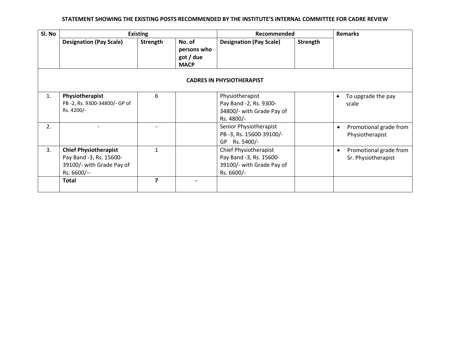| Sl. No |                                                                                                     | <b>Existing</b> |                                                   |                                                                                             | Recommended | <b>Remarks</b>                                             |
|--------|-----------------------------------------------------------------------------------------------------|-----------------|---------------------------------------------------|---------------------------------------------------------------------------------------------|-------------|------------------------------------------------------------|
|        | <b>Designation (Pay Scale)</b>                                                                      | Strength        | No. of<br>persons who<br>got / due<br><b>MACP</b> | <b>Designation (Pay Scale)</b>                                                              | Strength    |                                                            |
|        |                                                                                                     |                 |                                                   | <b>CADRES IN PHYSIOTHERAPIST</b>                                                            |             |                                                            |
| 1.     | Physiotherapist<br>PB-2, Rs. 9300-34800/- GP of<br>Rs. 4200/-                                       | 6               |                                                   | Physiotherapist<br>Pay Band -2, Rs. 9300-<br>34800/- with Grade Pay of<br>Rs. 4800/-        |             | To upgrade the pay<br>scale                                |
| 2.     |                                                                                                     |                 |                                                   | Senior Physiotherapist<br>PB-3, Rs. 15600-39100/-<br>Rs. 5400/-<br>GP                       |             | Promotional grade from<br>$\bullet$<br>Physiotherapist     |
| 3.     | <b>Chief Physiotherapist</b><br>Pay Band -3, Rs. 15600-<br>39100/- with Grade Pay of<br>Rs. 6600/-- | 1               |                                                   | Chief Physiotherapist<br>Pay Band -3, Rs. 15600-<br>39100/- with Grade Pay of<br>Rs. 6600/- |             | Promotional grade from<br>$\bullet$<br>Sr. Physiotherapist |
|        | <b>Total</b>                                                                                        | 7               |                                                   |                                                                                             |             |                                                            |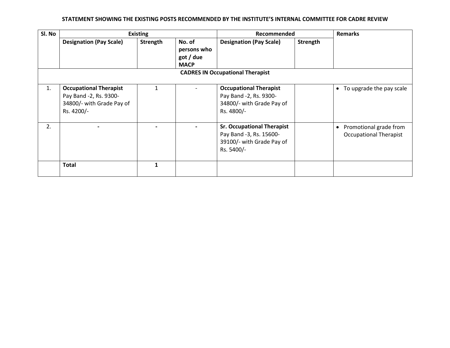| Sl. No |                                                                                                    | <b>Existing</b> |                                                   | Recommended                                                                                             |          | <b>Remarks</b>                                                       |
|--------|----------------------------------------------------------------------------------------------------|-----------------|---------------------------------------------------|---------------------------------------------------------------------------------------------------------|----------|----------------------------------------------------------------------|
|        | <b>Designation (Pay Scale)</b>                                                                     | Strength        | No. of<br>persons who<br>got / due<br><b>MACP</b> | <b>Designation (Pay Scale)</b>                                                                          | Strength |                                                                      |
|        |                                                                                                    |                 |                                                   |                                                                                                         |          |                                                                      |
| 1.     | <b>Occupational Therapist</b><br>Pay Band -2, Rs. 9300-<br>34800/- with Grade Pay of<br>Rs. 4200/- | $\mathbf{1}$    |                                                   | <b>Occupational Therapist</b><br>Pay Band -2, Rs. 9300-<br>34800/- with Grade Pay of<br>Rs. 4800/-      |          | • To upgrade the pay scale                                           |
| 2.     |                                                                                                    |                 |                                                   | <b>Sr. Occupational Therapist</b><br>Pay Band -3, Rs. 15600-<br>39100/- with Grade Pay of<br>Rs. 5400/- |          | Promotional grade from<br>$\bullet$<br><b>Occupational Therapist</b> |
|        | <b>Total</b>                                                                                       | $\mathbf 1$     |                                                   |                                                                                                         |          |                                                                      |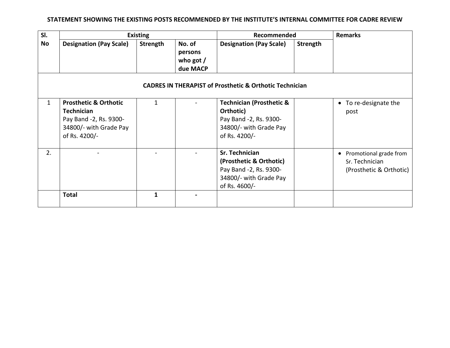| SI. |                                                                                                                            | <b>Existing</b> |                                              | Recommended                                                                                                           | <b>Remarks</b>  |                                                                                  |
|-----|----------------------------------------------------------------------------------------------------------------------------|-----------------|----------------------------------------------|-----------------------------------------------------------------------------------------------------------------------|-----------------|----------------------------------------------------------------------------------|
| No  | <b>Designation (Pay Scale)</b>                                                                                             | Strength        | No. of<br>persons<br>who got $/$<br>due MACP | <b>Designation (Pay Scale)</b>                                                                                        | <b>Strength</b> |                                                                                  |
|     |                                                                                                                            |                 |                                              | <b>CADRES IN THERAPIST of Prosthetic &amp; Orthotic Technician</b>                                                    |                 |                                                                                  |
| 1   | <b>Prosthetic &amp; Orthotic</b><br><b>Technician</b><br>Pay Band -2, Rs. 9300-<br>34800/- with Grade Pay<br>of Rs. 4200/- | 1               |                                              | <b>Technician (Prosthetic &amp;</b><br>Orthotic)<br>Pay Band -2, Rs. 9300-<br>34800/- with Grade Pay<br>of Rs. 4200/- |                 | • To re-designate the<br>post                                                    |
| 2.  |                                                                                                                            |                 |                                              | Sr. Technician<br>(Prosthetic & Orthotic)<br>Pay Band -2, Rs. 9300-<br>34800/- with Grade Pay<br>of Rs. 4600/-        |                 | Promotional grade from<br>$\bullet$<br>Sr. Technician<br>(Prosthetic & Orthotic) |
|     | <b>Total</b>                                                                                                               | 1               |                                              |                                                                                                                       |                 |                                                                                  |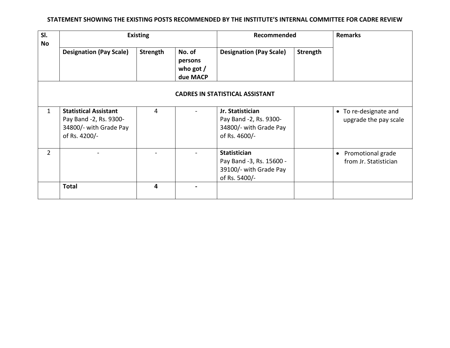| SI.<br><b>No</b> | <b>Existing</b>                                                                                   |                 |                                              | Recommended                                                                                |          | <b>Remarks</b>                                          |
|------------------|---------------------------------------------------------------------------------------------------|-----------------|----------------------------------------------|--------------------------------------------------------------------------------------------|----------|---------------------------------------------------------|
|                  | <b>Designation (Pay Scale)</b>                                                                    | <b>Strength</b> | No. of<br>persons<br>who got $/$<br>due MACP | <b>Designation (Pay Scale)</b>                                                             | Strength |                                                         |
|                  |                                                                                                   |                 |                                              | <b>CADRES IN STATISTICAL ASSISTANT</b>                                                     |          |                                                         |
| 1                | <b>Statistical Assistant</b><br>Pay Band -2, Rs. 9300-<br>34800/- with Grade Pay<br>of Rs. 4200/- | 4               |                                              | Jr. Statistician<br>Pay Band -2, Rs. 9300-<br>34800/- with Grade Pay<br>of Rs. 4600/-      |          | • To re-designate and<br>upgrade the pay scale          |
| 2                |                                                                                                   |                 |                                              | <b>Statistician</b><br>Pay Band -3, Rs. 15600 -<br>39100/- with Grade Pay<br>of Rs. 5400/- |          | Promotional grade<br>$\bullet$<br>from Jr. Statistician |
|                  | <b>Total</b>                                                                                      | 4               |                                              |                                                                                            |          |                                                         |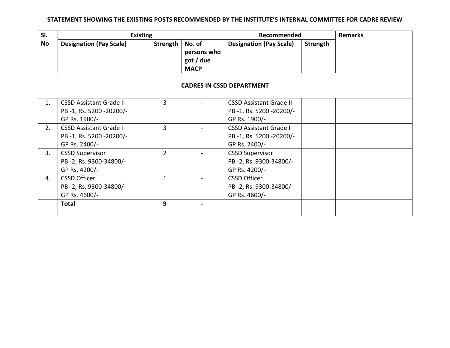| SI. | <b>Existing</b>                |                 |                                    | Recommended                    |          | <b>Remarks</b> |
|-----|--------------------------------|-----------------|------------------------------------|--------------------------------|----------|----------------|
| No  | <b>Designation (Pay Scale)</b> | <b>Strength</b> | No. of<br>persons who<br>got / due | <b>Designation (Pay Scale)</b> | Strength |                |
|     |                                |                 | <b>MACP</b>                        |                                |          |                |
|     |                                |                 |                                    |                                |          |                |
| 1.  | <b>CSSD Assistant Grade II</b> | 3               |                                    | <b>CSSD Assistant Grade II</b> |          |                |
|     | PB-1, Rs. 5200-20200/-         |                 |                                    | PB-1, Rs. 5200-20200/-         |          |                |
|     | GP Rs. 1900/-                  |                 |                                    | GP Rs. 1900/-                  |          |                |
| 2.  | <b>CSSD Assistant Grade I</b>  | 3               |                                    | <b>CSSD Assistant Grade I</b>  |          |                |
|     | PB-1, Rs. 5200-20200/-         |                 |                                    | PB-1, Rs. 5200-20200/-         |          |                |
|     | GP Rs. 2400/-                  |                 |                                    | GP Rs. 2400/-                  |          |                |
| 3.  | <b>CSSD Supervisor</b>         | $\mathcal{P}$   |                                    | <b>CSSD Supervisor</b>         |          |                |
|     | PB-2, Rs. 9300-34800/-         |                 |                                    | PB-2, Rs. 9300-34800/-         |          |                |
|     | GP Rs. 4200/-                  |                 |                                    | GP Rs. 4200/-                  |          |                |
| 4.  | <b>CSSD Officer</b>            | $\mathbf{1}$    |                                    | <b>CSSD Officer</b>            |          |                |
|     | PB-2, Rs. 9300-34800/-         |                 |                                    | PB-2, Rs. 9300-34800/-         |          |                |
|     | GP Rs. 4600/-                  |                 |                                    | GP Rs. 4600/-                  |          |                |
|     | <b>Total</b>                   | 9               |                                    |                                |          |                |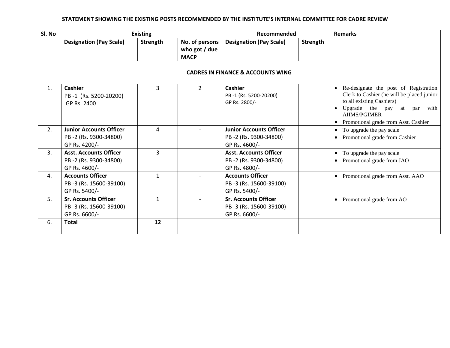| Sl. No |                                                                          | <b>Existing</b> |                                                | Recommended                                                              |          | <b>Remarks</b>                                                                                                                                                                                                             |
|--------|--------------------------------------------------------------------------|-----------------|------------------------------------------------|--------------------------------------------------------------------------|----------|----------------------------------------------------------------------------------------------------------------------------------------------------------------------------------------------------------------------------|
|        | <b>Designation (Pay Scale)</b>                                           | Strength        | No. of persons<br>who got / due<br><b>MACP</b> | <b>Designation (Pay Scale)</b>                                           | Strength |                                                                                                                                                                                                                            |
|        |                                                                          |                 |                                                |                                                                          |          |                                                                                                                                                                                                                            |
| 1.     | <b>Cashier</b><br>PB-1 (Rs. 5200-20200)<br>GP Rs. 2400                   | 3               | $\overline{2}$                                 | <b>Cashier</b><br>PB-1 (Rs. 5200-20200)<br>GP Rs. 2800/-                 |          | • Re-designate the post of Registration<br>Clerk to Cashier (he will be placed junior<br>to all existing Cashiers)<br>• Upgrade the pay<br>with<br>at par<br><b>AIIMS/PGIMER</b><br>• Promotional grade from Asst. Cashier |
| 2.     | <b>Junior Accounts Officer</b><br>PB-2 (Rs. 9300-34800)<br>GP Rs. 4200/- | 4               |                                                | <b>Junior Accounts Officer</b><br>PB-2 (Rs. 9300-34800)<br>GP Rs. 4600/- |          | • To upgrade the pay scale<br>Promotional grade from Cashier                                                                                                                                                               |
| 3.     | <b>Asst. Accounts Officer</b><br>PB-2 (Rs. 9300-34800)<br>GP Rs. 4600/-  | 3               |                                                | <b>Asst. Accounts Officer</b><br>PB-2 (Rs. 9300-34800)<br>GP Rs. 4800/-  |          | To upgrade the pay scale<br>$\bullet$<br>Promotional grade from JAO<br>$\bullet$                                                                                                                                           |
| 4.     | <b>Accounts Officer</b><br>PB-3 (Rs. 15600-39100)<br>GP Rs. 5400/-       | $\mathbf{1}$    |                                                | <b>Accounts Officer</b><br>PB-3 (Rs. 15600-39100)<br>GP Rs. 5400/-       |          | Promotional grade from Asst. AAO<br>$\bullet$                                                                                                                                                                              |
| 5.     | <b>Sr. Accounts Officer</b><br>PB-3 (Rs. 15600-39100)<br>GP Rs. 6600/-   | $\mathbf{1}$    |                                                | <b>Sr. Accounts Officer</b><br>PB-3 (Rs. 15600-39100)<br>GP Rs. 6600/-   |          | Promotional grade from AO<br>$\bullet$                                                                                                                                                                                     |
| 6.     | <b>Total</b>                                                             | 12              |                                                |                                                                          |          |                                                                                                                                                                                                                            |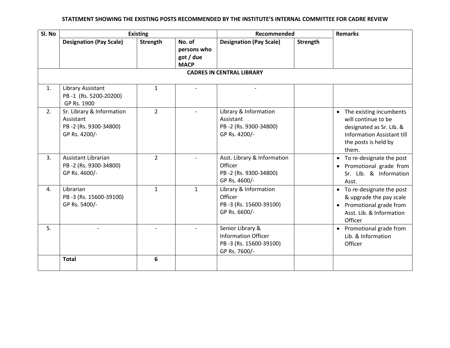| Sl. No |                                                                                  | <b>Existing</b> |                                                   | Recommended                                                                               |          | <b>Remarks</b>                                                                                                                              |
|--------|----------------------------------------------------------------------------------|-----------------|---------------------------------------------------|-------------------------------------------------------------------------------------------|----------|---------------------------------------------------------------------------------------------------------------------------------------------|
|        | <b>Designation (Pay Scale)</b>                                                   | Strength        | No. of<br>persons who<br>got / due<br><b>MACP</b> | <b>Designation (Pay Scale)</b>                                                            | Strength |                                                                                                                                             |
|        |                                                                                  |                 |                                                   | <b>CADRES IN CENTRAL LIBRARY</b>                                                          |          |                                                                                                                                             |
| 1.     | Library Assistant<br>PB-1 (Rs. 5200-20200)<br>GP Rs. 1900                        | $\mathbf{1}$    |                                                   |                                                                                           |          |                                                                                                                                             |
| 2.     | Sr. Library & Information<br>Assistant<br>PB-2 (Rs. 9300-34800)<br>GP Rs. 4200/- | $\overline{2}$  |                                                   | Library & Information<br>Assistant<br>PB-2 (Rs. 9300-34800)<br>GP Rs. 4200/-              |          | • The existing incumbents<br>will continue to be<br>designated as Sr. Lib. &<br>Information Assistant till<br>the posts is held by<br>them. |
| 3.     | Assistant Librarian<br>PB-2 (Rs. 9300-34800)<br>GP Rs. 4600/-                    | $\overline{2}$  |                                                   | Asst. Library & Information<br>Officer<br>PB-2 (Rs. 9300-34800)<br>GP Rs. 4600/-          |          | • To re-designate the post<br>Promotional grade from<br>$\bullet$<br>Sr. Lib. & Information<br>Asst.                                        |
| 4.     | Librarian<br>PB-3 (Rs. 15600-39100)<br>GP Rs. 5400/-                             | $\mathbf{1}$    | $\mathbf{1}$                                      | Library & Information<br>Officer<br>PB-3 (Rs. 15600-39100)<br>GP Rs. 6600/-               |          | • To re-designate the post<br>& upgrade the pay scale<br>Promotional grade from<br>$\bullet$<br>Asst. Lib. & Information<br>Officer         |
| 5.     |                                                                                  |                 |                                                   | Senior Library &<br><b>Information Officer</b><br>PB-3 (Rs. 15600-39100)<br>GP Rs. 7600/- |          | • Promotional grade from<br>Lib. & Information<br>Officer                                                                                   |
|        | <b>Total</b>                                                                     | 6               |                                                   |                                                                                           |          |                                                                                                                                             |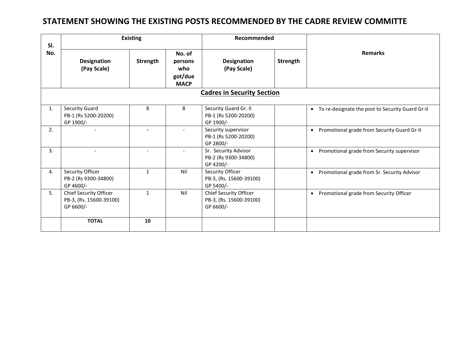### **STATEMENT SHOWING THE EXISTING POSTS RECOMMENDED BY THE CADRE REVIEW COMMITTE**

| SI. | <b>Existing</b>                                                |                          |                                                    | Recommended                                                    |          |                                                          |  |  |  |  |  |
|-----|----------------------------------------------------------------|--------------------------|----------------------------------------------------|----------------------------------------------------------------|----------|----------------------------------------------------------|--|--|--|--|--|
| No. | <b>Designation</b><br>(Pay Scale)                              | Strength                 | No. of<br>persons<br>who<br>got/due<br><b>MACP</b> | <b>Designation</b><br>(Pay Scale)                              | Strength | <b>Remarks</b>                                           |  |  |  |  |  |
|     | <b>Cadres in Security Section</b>                              |                          |                                                    |                                                                |          |                                                          |  |  |  |  |  |
| 1.  | <b>Security Guard</b><br>PB-1 (Rs 5200-20200)<br>GP 1900/-     | 8                        | 8                                                  | Security Guard Gr. II<br>PB-1 (Rs 5200-20200)<br>GP 1900/-     |          | • To re-designate the post to Security Guard Gr-II       |  |  |  |  |  |
| 2.  |                                                                | $\overline{\phantom{0}}$ | $\overline{\phantom{0}}$                           | Security supervisor<br>PB-1 (Rs 5200-20200)<br>GP 2800/-       |          | Promotional grade from Security Guard Gr-II<br>$\bullet$ |  |  |  |  |  |
| 3.  | $\overline{\phantom{a}}$                                       |                          | $\overline{\phantom{a}}$                           | Sr. Security Advisor<br>PB-2 (Rs 9300-34800)<br>GP 4200/-      |          | Promotional grade from Security supervisor<br>$\bullet$  |  |  |  |  |  |
| 4.  | Security Officer<br>PB-2 (Rs 9300-34800)<br>GP 4600/-          | $\mathbf{1}$             | Nil                                                | Security Officer<br>PB-3, (Rs. 15600-39100)<br>GP 5400/-       |          | Promotional grade from Sr. Security Advisor<br>$\bullet$ |  |  |  |  |  |
| 5.  | Chief Security Officer<br>PB-3, (Rs. 15600-39100)<br>GP 6600/- | $\mathbf{1}$             | Nil                                                | Chief Security Officer<br>PB-3, (Rs. 15600-39100)<br>GP 6600/- |          | Promotional grade from Security Officer<br>$\bullet$     |  |  |  |  |  |
|     | <b>TOTAL</b>                                                   | 10                       |                                                    |                                                                |          |                                                          |  |  |  |  |  |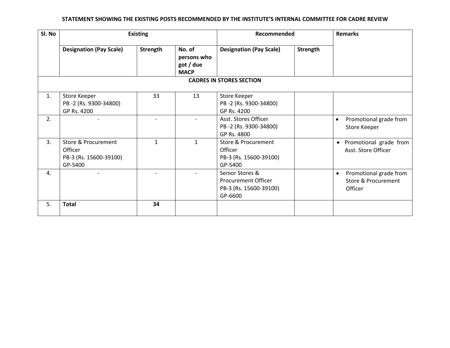| Sl. No | <b>Existing</b>                                                                |              |                                                   | Recommended                                                                        |                 |                                                                                  |
|--------|--------------------------------------------------------------------------------|--------------|---------------------------------------------------|------------------------------------------------------------------------------------|-----------------|----------------------------------------------------------------------------------|
|        | <b>Designation (Pay Scale)</b>                                                 | Strength     | No. of<br>persons who<br>got / due<br><b>MACP</b> | <b>Designation (Pay Scale)</b>                                                     | <b>Strength</b> |                                                                                  |
|        |                                                                                |              |                                                   |                                                                                    |                 |                                                                                  |
| 1.     | Store Keeper<br>PB-2 (Rs. 9300-34800)<br>GP Rs. 4200                           | 33           | 13                                                | Store Keeper<br>PB-2 (Rs. 9300-34800)<br>GP Rs. 4200                               |                 |                                                                                  |
| 2.     |                                                                                |              |                                                   | Asst. Stores Officer<br>PB-2 (Rs. 9300-34800)<br>GP Rs. 4800                       |                 | Promotional grade from<br>$\bullet$<br>Store Keeper                              |
| 3.     | <b>Store &amp; Procurement</b><br>Officer<br>PB-3 (Rs. 15600-39100)<br>GP-5400 | $\mathbf{1}$ | $\mathbf{1}$                                      | <b>Store &amp; Procurement</b><br>Officer<br>PB-3 (Rs. 15600-39100)<br>GP-5400     |                 | Promotional grade from<br>$\bullet$<br>Asst. Store Officer                       |
| 4.     |                                                                                |              |                                                   | Senior Stores &<br><b>Procurement Officer</b><br>PB-3 (Rs. 15600-39100)<br>GP-6600 |                 | Promotional grade from<br>$\bullet$<br><b>Store &amp; Procurement</b><br>Officer |
| 5.     | <b>Total</b>                                                                   | 34           |                                                   |                                                                                    |                 |                                                                                  |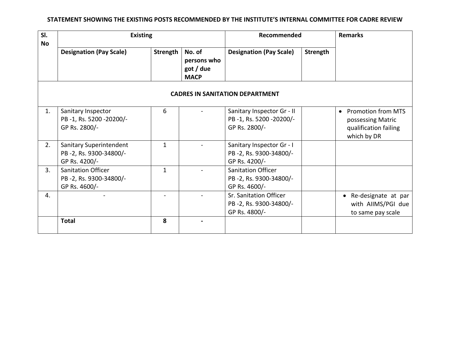| SI.<br><b>No</b> | <b>Existing</b>                                                      |              | Recommended                                       |                                                                       | <b>Remarks</b>  |                                                                                                     |
|------------------|----------------------------------------------------------------------|--------------|---------------------------------------------------|-----------------------------------------------------------------------|-----------------|-----------------------------------------------------------------------------------------------------|
|                  | <b>Designation (Pay Scale)</b>                                       | Strength     | No. of<br>persons who<br>got / due<br><b>MACP</b> | <b>Designation (Pay Scale)</b>                                        | <b>Strength</b> |                                                                                                     |
|                  |                                                                      |              |                                                   | <b>CADRES IN SANITATION DEPARTMENT</b>                                |                 |                                                                                                     |
| 1.               | Sanitary Inspector<br>PB-1, Rs. 5200-20200/-<br>GP Rs. 2800/-        | 6            |                                                   | Sanitary Inspector Gr - II<br>PB-1, Rs. 5200-20200/-<br>GP Rs. 2800/- |                 | <b>Promotion from MTS</b><br>$\bullet$<br>possessing Matric<br>qualification failing<br>which by DR |
| 2.               | Sanitary Superintendent<br>PB-2, Rs. 9300-34800/-<br>GP Rs. 4200/-   | $\mathbf{1}$ |                                                   | Sanitary Inspector Gr - I<br>PB-2, Rs. 9300-34800/-<br>GP Rs. 4200/-  |                 |                                                                                                     |
| 3.               | <b>Sanitation Officer</b><br>PB-2, Rs. 9300-34800/-<br>GP Rs. 4600/- | $\mathbf{1}$ |                                                   | <b>Sanitation Officer</b><br>PB-2, Rs. 9300-34800/-<br>GP Rs. 4600/-  |                 |                                                                                                     |
| 4.               |                                                                      |              |                                                   | Sr. Sanitation Officer<br>PB-2, Rs. 9300-34800/-<br>GP Rs. 4800/-     |                 | Re-designate at par<br>$\bullet$<br>with AIIMS/PGI due<br>to same pay scale                         |
|                  | <b>Total</b>                                                         | 8            |                                                   |                                                                       |                 |                                                                                                     |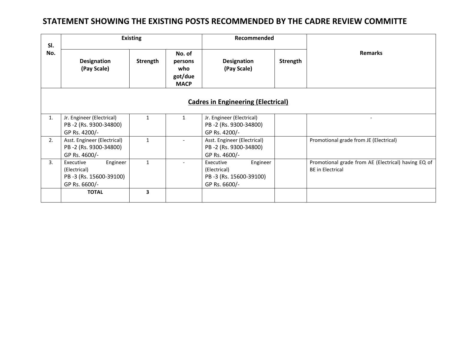### **STATEMENT SHOWING THE EXISTING POSTS RECOMMENDED BY THE CADRE REVIEW COMMITTE**

| SI.                                                                                    |                                                                                       | <b>Existing</b> |                                                    | Recommended                                                                      |          |                                                                                |  |
|----------------------------------------------------------------------------------------|---------------------------------------------------------------------------------------|-----------------|----------------------------------------------------|----------------------------------------------------------------------------------|----------|--------------------------------------------------------------------------------|--|
| No.                                                                                    | <b>Designation</b><br>(Pay Scale)                                                     | Strength        | No. of<br>persons<br>who<br>got/due<br><b>MACP</b> | <b>Designation</b><br>(Pay Scale)                                                | Strength | <b>Remarks</b>                                                                 |  |
|                                                                                        |                                                                                       |                 | <b>Cadres in Engineering (Electrical)</b>          |                                                                                  |          |                                                                                |  |
| 1.                                                                                     | Jr. Engineer (Electrical)<br>PB-2 (Rs. 9300-34800)<br>GP Rs. 4200/-                   | $\mathbf{1}$    | $\mathbf{1}$                                       | Jr. Engineer (Electrical)<br>PB-2 (Rs. 9300-34800)<br>GP Rs. 4200/-              |          |                                                                                |  |
| 2.                                                                                     | Asst. Engineer (Electrical)<br>$\mathbf{1}$<br>PB-2 (Rs. 9300-34800)<br>GP Rs. 4600/- |                 |                                                    | Asst. Engineer (Electrical)<br>PB-2 (Rs. 9300-34800)<br>GP Rs. 4600/-            |          | Promotional grade from JE (Electrical)                                         |  |
| 3.<br>Engineer<br>Executive<br>(Electrical)<br>PB-3 (Rs. 15600-39100)<br>GP Rs. 6600/- |                                                                                       | $\mathbf{1}$    |                                                    | Executive<br>Engineer<br>(Electrical)<br>PB-3 (Rs. 15600-39100)<br>GP Rs. 6600/- |          | Promotional grade from AE (Electrical) having EQ of<br><b>BE</b> in Electrical |  |
|                                                                                        | 3<br><b>TOTAL</b>                                                                     |                 |                                                    |                                                                                  |          |                                                                                |  |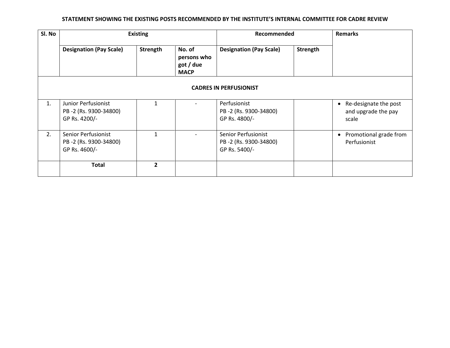| Sl. No |                                                                      | <b>Existing</b> |                                                   | Recommended                                                          |          | <b>Remarks</b>                                                     |
|--------|----------------------------------------------------------------------|-----------------|---------------------------------------------------|----------------------------------------------------------------------|----------|--------------------------------------------------------------------|
|        | <b>Designation (Pay Scale)</b>                                       | Strength        | No. of<br>persons who<br>got / due<br><b>MACP</b> | <b>Designation (Pay Scale)</b>                                       | Strength |                                                                    |
|        |                                                                      |                 |                                                   | <b>CADRES IN PERFUSIONIST</b>                                        |          |                                                                    |
| 1.     | Junior Perfusionist<br>PB-2 (Rs. 9300-34800)<br>GP Rs. 4200/-        | 1               |                                                   | Perfusionist<br>PB-2 (Rs. 9300-34800)<br>GP Rs. 4800/-               |          | Re-designate the post<br>$\bullet$<br>and upgrade the pay<br>scale |
| 2.     | <b>Senior Perfusionist</b><br>PB-2 (Rs. 9300-34800)<br>GP Rs. 4600/- | 1               |                                                   | <b>Senior Perfusionist</b><br>PB-2 (Rs. 9300-34800)<br>GP Rs. 5400/- |          | Promotional grade from<br>$\bullet$<br>Perfusionist                |
|        | <b>Total</b>                                                         | $\overline{2}$  |                                                   |                                                                      |          |                                                                    |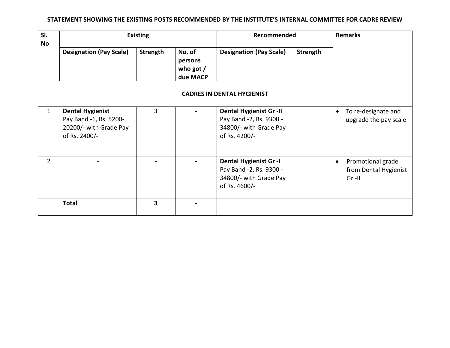| SI.<br>No      | <b>Existing</b>                                                                              |                 | Recommended                                  |                                                                                                      | <b>Remarks</b>  |                                                                      |
|----------------|----------------------------------------------------------------------------------------------|-----------------|----------------------------------------------|------------------------------------------------------------------------------------------------------|-----------------|----------------------------------------------------------------------|
|                | <b>Designation (Pay Scale)</b>                                                               | <b>Strength</b> | No. of<br>persons<br>who got $/$<br>due MACP | <b>Designation (Pay Scale)</b>                                                                       | <b>Strength</b> |                                                                      |
|                |                                                                                              |                 |                                              | <b>CADRES IN DENTAL HYGIENIST</b>                                                                    |                 |                                                                      |
| $\mathbf{1}$   | <b>Dental Hygienist</b><br>Pay Band -1, Rs. 5200-<br>20200/- with Grade Pay<br>of Rs. 2400/- | 3               |                                              | <b>Dental Hygienist Gr -II</b><br>Pay Band -2, Rs. 9300 -<br>34800/- with Grade Pay<br>of Rs. 4200/- |                 | To re-designate and<br>$\bullet$<br>upgrade the pay scale            |
| $\overline{2}$ |                                                                                              |                 |                                              | <b>Dental Hygienist Gr -I</b><br>Pay Band -2, Rs. 9300 -<br>34800/- with Grade Pay<br>of Rs. 4600/-  |                 | Promotional grade<br>$\bullet$<br>from Dental Hygienist<br>$Gr - II$ |
|                | <b>Total</b>                                                                                 | 3               |                                              |                                                                                                      |                 |                                                                      |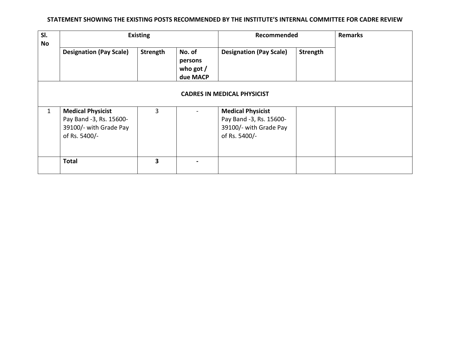| SI.<br>No    | <b>Existing</b>                                                                                |          | Recommended                                  | <b>Remarks</b>                                                                                 |          |  |
|--------------|------------------------------------------------------------------------------------------------|----------|----------------------------------------------|------------------------------------------------------------------------------------------------|----------|--|
|              | <b>Designation (Pay Scale)</b>                                                                 | Strength | No. of<br>persons<br>who got $/$<br>due MACP | <b>Designation (Pay Scale)</b>                                                                 | Strength |  |
|              |                                                                                                |          |                                              |                                                                                                |          |  |
| $\mathbf{1}$ | <b>Medical Physicist</b><br>Pay Band -3, Rs. 15600-<br>39100/- with Grade Pay<br>of Rs. 5400/- | 3        |                                              | <b>Medical Physicist</b><br>Pay Band -3, Rs. 15600-<br>39100/- with Grade Pay<br>of Rs. 5400/- |          |  |
|              | <b>Total</b>                                                                                   | 3        |                                              |                                                                                                |          |  |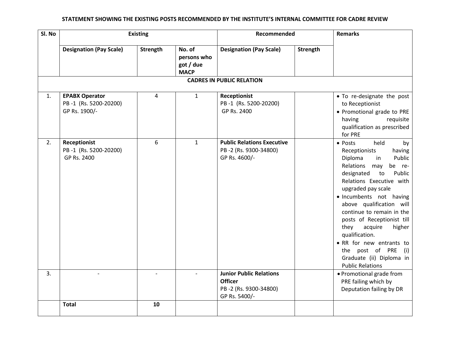| Sl. No |                                                                 | <b>Existing</b> |                                                   |                                                                                            | Recommended<br><b>Remarks</b> |                                                                                                                                                                                                                                                                                                                                                                                                                                                                      |
|--------|-----------------------------------------------------------------|-----------------|---------------------------------------------------|--------------------------------------------------------------------------------------------|-------------------------------|----------------------------------------------------------------------------------------------------------------------------------------------------------------------------------------------------------------------------------------------------------------------------------------------------------------------------------------------------------------------------------------------------------------------------------------------------------------------|
|        | <b>Designation (Pay Scale)</b>                                  | Strength        | No. of<br>persons who<br>got / due<br><b>MACP</b> | <b>Designation (Pay Scale)</b><br><b>CADRES IN PUBLIC RELATION</b>                         | Strength                      |                                                                                                                                                                                                                                                                                                                                                                                                                                                                      |
|        |                                                                 |                 |                                                   |                                                                                            |                               |                                                                                                                                                                                                                                                                                                                                                                                                                                                                      |
| 1.     | <b>EPABX Operator</b><br>PB-1 (Rs. 5200-20200)<br>GP Rs. 1900/- | 4               | $\mathbf{1}$                                      | <b>Receptionist</b><br>PB-1 (Rs. 5200-20200)<br>GP Rs. 2400                                |                               | • To re-designate the post<br>to Receptionist<br>• Promotional grade to PRE<br>having<br>requisite<br>qualification as prescribed<br>for PRE                                                                                                                                                                                                                                                                                                                         |
| 2.     | <b>Receptionist</b><br>PB-1 (Rs. 5200-20200)<br>GP Rs. 2400     | 6               | $\mathbf{1}$                                      | <b>Public Relations Executive</b><br>PB-2 (Rs. 9300-34800)<br>GP Rs. 4600/-                |                               | • Posts<br>held<br>by<br>Receptionists<br>having<br>Public<br>Diploma<br>in<br>Relations may<br>be re-<br>designated<br>to<br>Public<br>Relations Executive with<br>upgraded pay scale<br>· Incumbents not having<br>above qualification will<br>continue to remain in the<br>posts of Receptionist till<br>they<br>acquire<br>higher<br>qualification.<br>• RR for new entrants to<br>the post of PRE<br>(i)<br>Graduate (ii) Diploma in<br><b>Public Relations</b> |
| 3.     |                                                                 |                 |                                                   | <b>Junior Public Relations</b><br><b>Officer</b><br>PB-2 (Rs. 9300-34800)<br>GP Rs. 5400/- |                               | • Promotional grade from<br>PRE failing which by<br>Deputation failing by DR                                                                                                                                                                                                                                                                                                                                                                                         |
|        | <b>Total</b>                                                    | 10              |                                                   |                                                                                            |                               |                                                                                                                                                                                                                                                                                                                                                                                                                                                                      |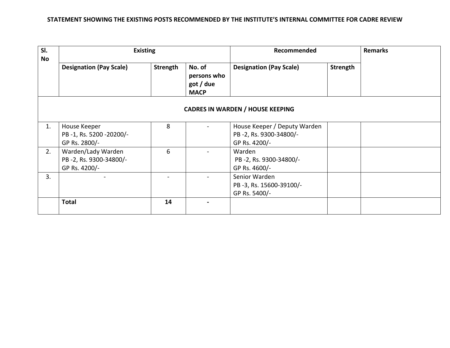| SI.<br>No |                                                               | <b>Existing</b> |                                                   | Recommended                                                             |          | <b>Remarks</b> |
|-----------|---------------------------------------------------------------|-----------------|---------------------------------------------------|-------------------------------------------------------------------------|----------|----------------|
|           | <b>Designation (Pay Scale)</b>                                | Strength        | No. of<br>persons who<br>got / due<br><b>MACP</b> | <b>Designation (Pay Scale)</b>                                          | Strength |                |
|           |                                                               |                 |                                                   | <b>CADRES IN WARDEN / HOUSE KEEPING</b>                                 |          |                |
| 1.        | House Keeper<br>PB-1, Rs. 5200-20200/-<br>GP Rs. 2800/-       | 8               |                                                   | House Keeper / Deputy Warden<br>PB-2, Rs. 9300-34800/-<br>GP Rs. 4200/- |          |                |
| 2.        | Warden/Lady Warden<br>PB-2, Rs. 9300-34800/-<br>GP Rs. 4200/- | 6               |                                                   | Warden<br>PB-2, Rs. 9300-34800/-<br>GP Rs. 4600/-                       |          |                |
| 3.        |                                                               |                 |                                                   | Senior Warden<br>PB-3, Rs. 15600-39100/-<br>GP Rs. 5400/-               |          |                |
|           | <b>Total</b>                                                  | 14              |                                                   |                                                                         |          |                |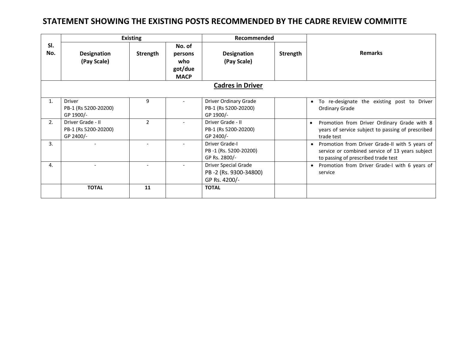### **STATEMENT SHOWING THE EXISTING POSTS RECOMMENDED BY THE CADRE REVIEW COMMITTE**

|            |                                                        | <b>Existing</b> |                                                    | Recommended                                                    |          |                                                                                                                                                       |  |  |  |  |  |
|------------|--------------------------------------------------------|-----------------|----------------------------------------------------|----------------------------------------------------------------|----------|-------------------------------------------------------------------------------------------------------------------------------------------------------|--|--|--|--|--|
| SI.<br>No. | <b>Designation</b><br>(Pay Scale)                      | Strength        | No. of<br>persons<br>who<br>got/due<br><b>MACP</b> | <b>Designation</b><br>(Pay Scale)                              | Strength | <b>Remarks</b>                                                                                                                                        |  |  |  |  |  |
|            | <b>Cadres in Driver</b>                                |                 |                                                    |                                                                |          |                                                                                                                                                       |  |  |  |  |  |
| 1.         | <b>Driver</b><br>PB-1 (Rs 5200-20200)<br>GP 1900/-     | 9               |                                                    | Driver Ordinary Grade<br>PB-1 (Rs 5200-20200)<br>GP 1900/-     |          | To re-designate the existing post to Driver<br>$\bullet$<br><b>Ordinary Grade</b>                                                                     |  |  |  |  |  |
| 2.         | Driver Grade - II<br>PB-1 (Rs 5200-20200)<br>GP 2400/- | $\overline{2}$  |                                                    | Driver Grade - II<br>PB-1 (Rs 5200-20200)<br>GP 2400/-         |          | Promotion from Driver Ordinary Grade with 8<br>years of service subject to passing of prescribed<br>trade test                                        |  |  |  |  |  |
| 3.         |                                                        |                 |                                                    | Driver Grade-I<br>PB-1 (Rs. 5200-20200)<br>GP Rs. 2800/-       |          | Promotion from Driver Grade-II with 5 years of<br>$\bullet$<br>service or combined service of 13 years subject<br>to passing of prescribed trade test |  |  |  |  |  |
| 4.         |                                                        |                 |                                                    | Driver Special Grade<br>PB-2 (Rs. 9300-34800)<br>GP Rs. 4200/- |          | Promotion from Driver Grade-I with 6 years of<br>$\bullet$<br>service                                                                                 |  |  |  |  |  |
|            | <b>TOTAL</b>                                           | 11              |                                                    | <b>TOTAL</b>                                                   |          |                                                                                                                                                       |  |  |  |  |  |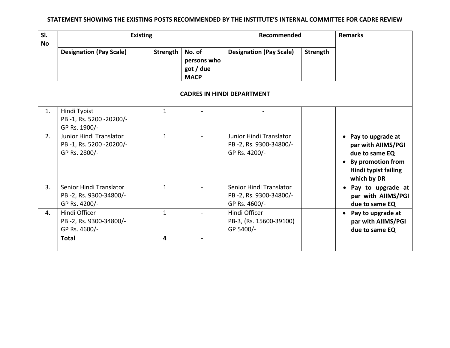| SI.<br><b>No</b> | <b>Existing</b>                                                    |              | Recommended                                       |                                                                    | <b>Remarks</b> |                                                                                                                                                    |
|------------------|--------------------------------------------------------------------|--------------|---------------------------------------------------|--------------------------------------------------------------------|----------------|----------------------------------------------------------------------------------------------------------------------------------------------------|
|                  | <b>Designation (Pay Scale)</b>                                     | Strength     | No. of<br>persons who<br>got / due<br><b>MACP</b> | <b>Designation (Pay Scale)</b>                                     | Strength       |                                                                                                                                                    |
|                  |                                                                    |              |                                                   |                                                                    |                |                                                                                                                                                    |
| 1.               | Hindi Typist<br>PB-1, Rs. 5200-20200/-<br>GP Rs. 1900/-            | $\mathbf{1}$ |                                                   |                                                                    |                |                                                                                                                                                    |
| 2.               | Junior Hindi Translator<br>PB-1, Rs. 5200-20200/-<br>GP Rs. 2800/- | $\mathbf{1}$ |                                                   | Junior Hindi Translator<br>PB-2, Rs. 9300-34800/-<br>GP Rs. 4200/- |                | • Pay to upgrade at<br>par with AllMS/PGI<br>due to same EQ<br><b>By promotion from</b><br>$\bullet$<br><b>Hindi typist failing</b><br>which by DR |
| 3.               | Senior Hindi Translator<br>PB-2, Rs. 9300-34800/-<br>GP Rs. 4200/- | $\mathbf{1}$ |                                                   | Senior Hindi Translator<br>PB-2, Rs. 9300-34800/-<br>GP Rs. 4600/- |                | • Pay to upgrade at<br>par with AllMS/PGI<br>due to same EQ                                                                                        |
| 4.               | Hindi Officer<br>PB-2, Rs. 9300-34800/-<br>GP Rs. 4600/-           | $\mathbf{1}$ |                                                   | Hindi Officer<br>PB-3, (Rs. 15600-39100)<br>GP 5400/-              |                | Pay to upgrade at<br>$\bullet$<br>par with AllMS/PGI<br>due to same EQ                                                                             |
|                  | <b>Total</b>                                                       | 4            |                                                   |                                                                    |                |                                                                                                                                                    |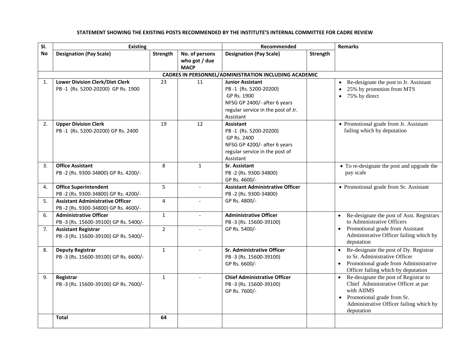#### **Sl. No Existing Recommended Remarks Designation (Pay Scale) Strength No. of persons who got / due MACP Designation (Pay Scale) Strength CADRES IN PERSONNEL/ADMINISTRATION INCLUDING ACADEMIC** 1. **Lower Division Clerk/Diet Clerk** PB -1 (Rs. 5200-20200) GP Rs. 1900 23 11 **Junior Assistant** PB -1 (Rs. 5200-20200) GP Rs. 1900 NFSG GP 2400/- after 6 years regular service in the post of Jr. Assistant • Re-designate the post to Jr. Assistant • 25% by promotion from MTS  $\bullet$  75% by direct 2. **Upper Division Clerk** PB -1 (Rs. 5200-20200) GP Rs. 2400 19 12 **Assistant**  PB -1 (Rs. 5200-20200) GP Rs. 2400 NFSG GP 4200/- after 6 years regular service in the post of Assistant • Promotional grade from Jr. Assistant failing which by deputation 3. **Office Assistant**  PB -2 (Rs. 9300-34800) GP Rs. 4200/- 8 1 **Sr. Assistant**  PB -2 (Rs. 9300-34800) GP Rs. 4600/- To re-designate the post and upgrade the pay scale 4. **Office Superintendent** PB -2 (Rs. 9300-34800) GP Rs. 4200/- 5 - **Assistant Administrative Officer**  PB -2 (Rs. 9300-34800) GP Rs. 4800/- • Promotional grade from Sr. Assistant 5. **Assistant Administrative Officer**  PB -2 (Rs. 9300-34800) GP Rs. 4600/- 4 - 6. **Administrative Officer** PB -3 (Rs. 15600-39100) GP Rs. 5400/- 1 | **Administrative Officer** PB -3 (Rs. 15600-39100) GP Rs. 5400/- Re-designate the post of Asst. Registrars to Administrative Officers • Promotional grade from Assistant Administrative Officer failing which by deputation 7. **Assistant Registrar**  PB -3 (Rs. 15600-39100) GP Rs. 5400/- 2 - 8. **Deputy Registrar** PB -3 (Rs. 15600-39100) GP Rs. 6600/- 1 | **Sr. Administrative Officer** PB -3 (Rs. 15600-39100) GP Rs. 6600/- • Re-designate the post of Dy. Registrar to Sr. Administrative Officer • Promotional grade from Administrative Officer failing which by deputation 9. **Registrar** PB -3 (Rs. 15600-39100) GP Rs. 7600/- 1 - **Chief Administrative Officer** PB -3 (Rs. 15600-39100) GP Rs. 7600/- • Re-designate the post of Registrar to Chief Administrative Officer at par with AIIMS • Promotional grade from Sr. Administrative Officer failing which by deputation **Total 64**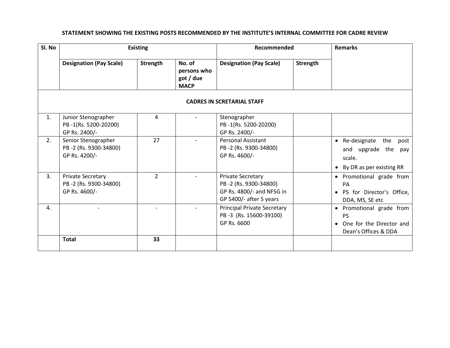| Sl. No         |                                                                    | <b>Existing</b> |                                                   | Recommended                                                                                               |          | <b>Remarks</b>                                                                             |  |
|----------------|--------------------------------------------------------------------|-----------------|---------------------------------------------------|-----------------------------------------------------------------------------------------------------------|----------|--------------------------------------------------------------------------------------------|--|
|                | <b>Designation (Pay Scale)</b>                                     | Strength        | No. of<br>persons who<br>got / due<br><b>MACP</b> | <b>Designation (Pay Scale)</b>                                                                            | Strength |                                                                                            |  |
|                |                                                                    |                 |                                                   | <b>CADRES IN SCRETARIAL STAFF</b>                                                                         |          |                                                                                            |  |
| 1.             | Junior Stenographer<br>PB-1(Rs. 5200-20200)<br>GP Rs. 2400/-       | $\overline{4}$  |                                                   | Stenographer<br>PB-1(Rs. 5200-20200)<br>GP Rs. 2400/-                                                     |          |                                                                                            |  |
| 2.             | Senior Stenographer<br>PB-2 (Rs. 9300-34800)<br>GP Rs. 4200/-      | 27              |                                                   | <b>Personal Assistant</b><br>PB-2 (Rs. 9300-34800)<br>GP Rs. 4600/-                                       |          | • Re-designate<br>the<br>post<br>and upgrade the pay<br>scale.<br>By DR as per existing RR |  |
| 3.             | <b>Private Secretary</b><br>PB-2 (Rs. 9300-34800)<br>GP Rs. 4600/- | $\overline{2}$  |                                                   | <b>Private Secretary</b><br>PB-2 (Rs. 9300-34800)<br>GP Rs. 4800/- and NFSG in<br>GP 5400/- after 5 years |          | • Promotional grade from<br>PA<br>· PS for Director's Office,<br>DDA, MS, SE etc           |  |
| $\mathbf{4}$ . |                                                                    |                 |                                                   | <b>Principal Private Secretary</b><br>PB-3 (Rs. 15600-39100)<br>GP Rs. 6600                               |          | • Promotional grade from<br><b>PS</b><br>One for the Director and<br>Dean's Offices & DDA  |  |
|                | <b>Total</b>                                                       | 33              |                                                   |                                                                                                           |          |                                                                                            |  |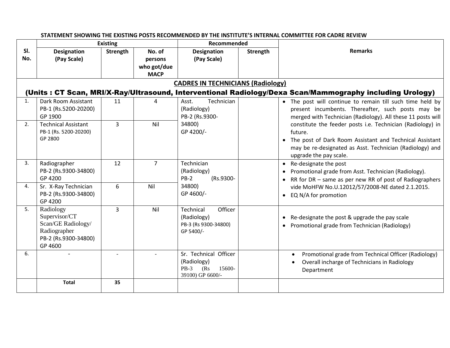|            | STATEMENT SHOWING THE EXISTING POSTS RECOMMENDED BY THE INSTITUTE'S INTERNAL COMMITTEE FOR CADRE REVIEW |                 |                                                 |                                                                                      |                 |                                                                                                                                                                                                                                     |  |  |  |  |  |
|------------|---------------------------------------------------------------------------------------------------------|-----------------|-------------------------------------------------|--------------------------------------------------------------------------------------|-----------------|-------------------------------------------------------------------------------------------------------------------------------------------------------------------------------------------------------------------------------------|--|--|--|--|--|
|            |                                                                                                         | <b>Existing</b> |                                                 | Recommended                                                                          |                 |                                                                                                                                                                                                                                     |  |  |  |  |  |
| SI.<br>No. | <b>Designation</b><br>(Pay Scale)                                                                       | <b>Strength</b> | No. of<br>persons<br>who got/due<br><b>MACP</b> | <b>Designation</b><br>(Pay Scale)                                                    | <b>Strength</b> | <b>Remarks</b>                                                                                                                                                                                                                      |  |  |  |  |  |
|            | <b>CADRES IN TECHNICIANS (Radiology)</b>                                                                |                 |                                                 |                                                                                      |                 |                                                                                                                                                                                                                                     |  |  |  |  |  |
|            |                                                                                                         |                 |                                                 |                                                                                      |                 | (Units: CT Scan, MRI/X-Ray/Ultrasound, Interventional Radiology/Dexa Scan/Mammography including Urology)                                                                                                                            |  |  |  |  |  |
| 1.         | Dark Room Assistant<br>PB-1 (Rs.5200-20200)<br>GP 1900                                                  | 11              | 4                                               | Technician<br>Asst.<br>(Radiology)<br>PB-2 (Rs.9300-                                 |                 | • The post will continue to remain till such time held by<br>present incumbents. Thereafter, such posts may be<br>merged with Technician (Radiology). All these 11 posts will                                                       |  |  |  |  |  |
| 2.         | <b>Technical Assistant</b><br>PB-1 (Rs. 5200-20200)<br>GP 2800                                          | 3               | Nil                                             | 34800)<br>GP 4200/-                                                                  |                 | constitute the feeder posts i.e. Technician (Radiology) in<br>future.<br>The post of Dark Room Assistant and Technical Assistant<br>$\bullet$<br>may be re-designated as Asst. Technician (Radiology) and<br>upgrade the pay scale. |  |  |  |  |  |
| 3.         | Radiographer<br>PB-2 (Rs.9300-34800)<br>GP 4200                                                         | 12              | $\overline{7}$                                  | Technician<br>(Radiology)<br>$PB-2$<br>(Rs.9300-                                     |                 | Re-designate the post<br>$\bullet$<br>Promotional grade from Asst. Technician (Radiology).<br>$\bullet$<br>RR for DR - same as per new RR of post of Radiographers<br>$\bullet$                                                     |  |  |  |  |  |
| 4.         | Sr. X-Ray Technician<br>PB-2 (Rs.9300-34800)<br>GP 4200                                                 | 6               | Nil                                             | 34800)<br>GP 4600/-                                                                  |                 | vide MoHFW No.U.12012/57/2008-NE dated 2.1.2015.<br>EQ N/A for promotion<br>$\bullet$                                                                                                                                               |  |  |  |  |  |
| 5.         | Radiology<br>Supervisor/CT<br>Scan/GE Radiology/<br>Radiographer<br>PB-2 (Rs.9300-34800)<br>GP 4600     | 3               | Nil                                             | Officer<br>Technical<br>(Radiology)<br>PB-3 (Rs 9300-34800)<br>GP 5400/-             |                 | Re-designate the post & upgrade the pay scale<br>Promotional grade from Technician (Radiology)                                                                                                                                      |  |  |  |  |  |
| 6.         |                                                                                                         |                 |                                                 | Sr. Technical Officer<br>(Radiology)<br>15600-<br>$PB-3$<br>(Rs)<br>39100) GP 6600/- |                 | Promotional grade from Technical Officer (Radiology)<br>$\bullet$<br>Overall incharge of Technicians in Radiology<br>Department                                                                                                     |  |  |  |  |  |
|            | <b>Total</b>                                                                                            | 35              |                                                 |                                                                                      |                 |                                                                                                                                                                                                                                     |  |  |  |  |  |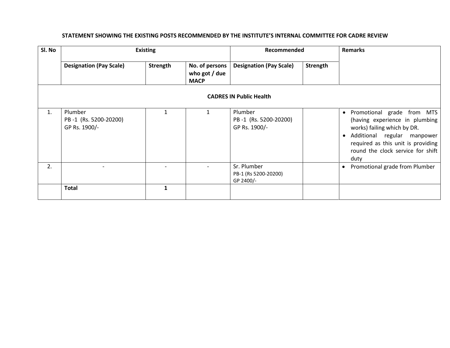| Sl. No |                                                   | <b>Existing</b> |                                                | Recommended                                       |          | <b>Remarks</b>                                                                                                                                                                                                                          |
|--------|---------------------------------------------------|-----------------|------------------------------------------------|---------------------------------------------------|----------|-----------------------------------------------------------------------------------------------------------------------------------------------------------------------------------------------------------------------------------------|
|        | <b>Designation (Pay Scale)</b>                    | Strength        | No. of persons<br>who got / due<br><b>MACP</b> | <b>Designation (Pay Scale)</b>                    | Strength |                                                                                                                                                                                                                                         |
|        |                                                   |                 |                                                | <b>CADRES IN Public Health</b>                    |          |                                                                                                                                                                                                                                         |
| 1.     | Plumber<br>PB-1 (Rs. 5200-20200)<br>GP Rs. 1900/- |                 | 1                                              | Plumber<br>PB-1 (Rs. 5200-20200)<br>GP Rs. 1900/- |          | Promotional grade from MTS<br>$\bullet$<br>(having experience in plumbing<br>works) failing which by DR.<br>Additional regular manpower<br>$\bullet$<br>required as this unit is providing<br>round the clock service for shift<br>duty |
| 2.     |                                                   |                 |                                                | Sr. Plumber<br>PB-1 (Rs 5200-20200)<br>GP 2400/-  |          | Promotional grade from Plumber<br>$\bullet$                                                                                                                                                                                             |
|        | <b>Total</b>                                      |                 |                                                |                                                   |          |                                                                                                                                                                                                                                         |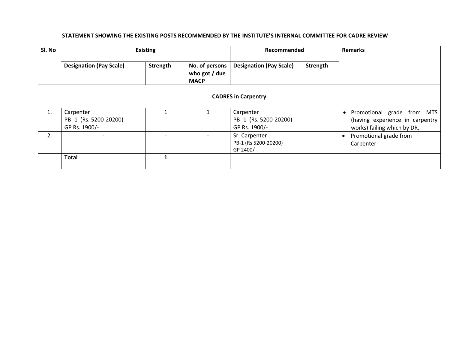| Sl. No | <b>Existing</b>                                     |          | Recommended                                    |                                                     | <b>Remarks</b> |                                                                                                           |  |  |  |
|--------|-----------------------------------------------------|----------|------------------------------------------------|-----------------------------------------------------|----------------|-----------------------------------------------------------------------------------------------------------|--|--|--|
|        | <b>Designation (Pay Scale)</b>                      | Strength | No. of persons<br>who got / due<br><b>MACP</b> | <b>Designation (Pay Scale)</b>                      | Strength       |                                                                                                           |  |  |  |
|        | <b>CADRES in Carpentry</b>                          |          |                                                |                                                     |                |                                                                                                           |  |  |  |
| 1.     | Carpenter<br>PB-1 (Rs. 5200-20200)<br>GP Rs. 1900/- |          |                                                | Carpenter<br>PB-1 (Rs. 5200-20200)<br>GP Rs. 1900/- |                | Promotional grade from MTS<br>$\bullet$<br>(having experience in carpentry<br>works) failing which by DR. |  |  |  |
| 2.     |                                                     |          |                                                | Sr. Carpenter<br>PB-1 (Rs 5200-20200)<br>GP 2400/-  |                | Promotional grade from<br>$\bullet$<br>Carpenter                                                          |  |  |  |
|        | <b>Total</b>                                        |          |                                                |                                                     |                |                                                                                                           |  |  |  |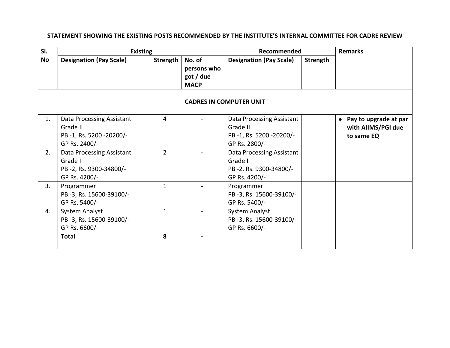| SI.       | <b>Existing</b>                |                 | Recommended |                                | <b>Remarks</b> |                                    |  |  |  |  |
|-----------|--------------------------------|-----------------|-------------|--------------------------------|----------------|------------------------------------|--|--|--|--|
| <b>No</b> | <b>Designation (Pay Scale)</b> | <b>Strength</b> | No. of      | <b>Designation (Pay Scale)</b> | Strength       |                                    |  |  |  |  |
|           |                                |                 | persons who |                                |                |                                    |  |  |  |  |
|           |                                |                 | got / due   |                                |                |                                    |  |  |  |  |
|           |                                |                 | <b>MACP</b> |                                |                |                                    |  |  |  |  |
|           | <b>CADRES IN COMPUTER UNIT</b> |                 |             |                                |                |                                    |  |  |  |  |
| 1.        | Data Processing Assistant      | 4               |             | Data Processing Assistant      |                | Pay to upgrade at par<br>$\bullet$ |  |  |  |  |
|           | Grade II                       |                 |             | Grade II                       |                | with AIIMS/PGI due                 |  |  |  |  |
|           | PB-1, Rs. 5200-20200/-         |                 |             | PB-1, Rs. 5200-20200/-         |                | to same EQ                         |  |  |  |  |
|           | GP Rs. 2400/-                  |                 |             | GP Rs. 2800/-                  |                |                                    |  |  |  |  |
| 2.        | Data Processing Assistant      | 2               |             | Data Processing Assistant      |                |                                    |  |  |  |  |
|           | Grade I                        |                 |             | Grade I                        |                |                                    |  |  |  |  |
|           | PB-2, Rs. 9300-34800/-         |                 |             | PB-2, Rs. 9300-34800/-         |                |                                    |  |  |  |  |
|           | GP Rs. 4200/-                  |                 |             | GP Rs. 4200/-                  |                |                                    |  |  |  |  |
| 3.        | Programmer                     | $\mathbf{1}$    |             | Programmer                     |                |                                    |  |  |  |  |
|           | PB-3, Rs. 15600-39100/-        |                 |             | PB-3, Rs. 15600-39100/-        |                |                                    |  |  |  |  |
|           | GP Rs. 5400/-                  |                 |             | GP Rs. 5400/-                  |                |                                    |  |  |  |  |
| 4.        | <b>System Analyst</b>          | $\mathbf{1}$    |             | <b>System Analyst</b>          |                |                                    |  |  |  |  |
|           | PB-3, Rs. 15600-39100/-        |                 |             | PB-3, Rs. 15600-39100/-        |                |                                    |  |  |  |  |
|           | GP Rs. 6600/-                  |                 |             | GP Rs. 6600/-                  |                |                                    |  |  |  |  |
|           | <b>Total</b>                   | 8               |             |                                |                |                                    |  |  |  |  |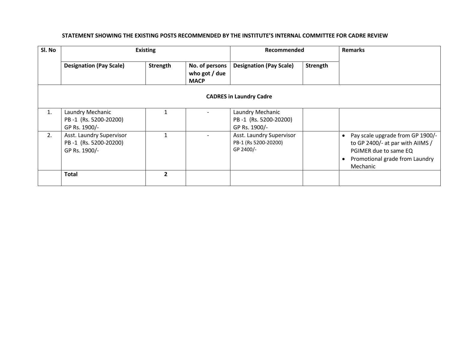| Sl. No | <b>Existing</b>                                                    |              |                                                | Recommended                                                   |          | <b>Remarks</b>                                                                                                                              |
|--------|--------------------------------------------------------------------|--------------|------------------------------------------------|---------------------------------------------------------------|----------|---------------------------------------------------------------------------------------------------------------------------------------------|
|        | <b>Designation (Pay Scale)</b>                                     | Strength     | No. of persons<br>who got / due<br><b>MACP</b> | <b>Designation (Pay Scale)</b>                                | Strength |                                                                                                                                             |
|        |                                                                    |              |                                                | <b>CADRES in Laundry Cadre</b>                                |          |                                                                                                                                             |
| 1.     | Laundry Mechanic<br>PB-1 (Rs. 5200-20200)<br>GP Rs. 1900/-         |              |                                                | Laundry Mechanic<br>PB-1 (Rs. 5200-20200)<br>GP Rs. 1900/-    |          |                                                                                                                                             |
| 2.     | Asst. Laundry Supervisor<br>PB-1 (Rs. 5200-20200)<br>GP Rs. 1900/- |              |                                                | Asst. Laundry Supervisor<br>PB-1 (Rs 5200-20200)<br>GP 2400/- |          | Pay scale upgrade from GP 1900/-<br>to GP 2400/- at par with AIIMS /<br>PGIMER due to same EQ<br>Promotional grade from Laundry<br>Mechanic |
|        | <b>Total</b>                                                       | $\mathbf{2}$ |                                                |                                                               |          |                                                                                                                                             |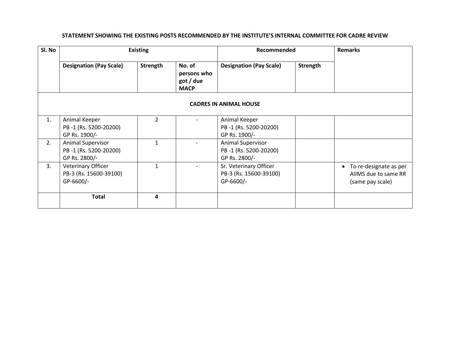| Sl. No |                                                                    | <b>Existing</b> |                                                   | Recommended                                                        | <b>Remarks</b>  |                                                                    |
|--------|--------------------------------------------------------------------|-----------------|---------------------------------------------------|--------------------------------------------------------------------|-----------------|--------------------------------------------------------------------|
|        | <b>Designation (Pay Scale)</b>                                     | Strength        | No. of<br>persons who<br>got / due<br><b>MACP</b> | <b>Designation (Pay Scale)</b>                                     | <b>Strength</b> |                                                                    |
|        |                                                                    |                 |                                                   | <b>CADRES IN ANIMAL HOUSE</b>                                      |                 |                                                                    |
| 1.     | Animal Keeper<br>PB-1 (Rs. 5200-20200)<br>GP Rs. 1900/-            | $\overline{2}$  |                                                   | Animal Keeper<br>PB-1 (Rs. 5200-20200)<br>GP Rs. 1900/-            |                 |                                                                    |
| 2.     | <b>Animal Supervisor</b><br>PB-1 (Rs. 5200-20200)<br>GP Rs. 2800/- | $\mathbf{1}$    |                                                   | <b>Animal Supervisor</b><br>PB-1 (Rs. 5200-20200)<br>GP Rs. 2800/- |                 |                                                                    |
| 3.     | <b>Veterinary Officer</b><br>PB-3 (Rs. 15600-39100)<br>GP-6600/-   |                 |                                                   | Sr. Veterinary Officer<br>PB-3 (Rs. 15600-39100)<br>GP-6600/-      |                 | To re-designate as per<br>AllMS due to same RR<br>(same pay scale) |
|        | <b>Total</b>                                                       | 4               |                                                   |                                                                    |                 |                                                                    |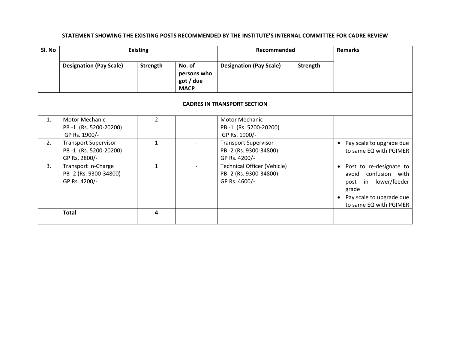| Sl. No | <b>Existing</b>                                                       |                |                                                   |                                                                              | Recommended |                                                                                                                                          |  |
|--------|-----------------------------------------------------------------------|----------------|---------------------------------------------------|------------------------------------------------------------------------------|-------------|------------------------------------------------------------------------------------------------------------------------------------------|--|
|        | <b>Designation (Pay Scale)</b>                                        | Strength       | No. of<br>persons who<br>got / due<br><b>MACP</b> | <b>Designation (Pay Scale)</b>                                               | Strength    |                                                                                                                                          |  |
|        |                                                                       |                |                                                   | <b>CADRES IN TRANSPORT SECTION</b>                                           |             |                                                                                                                                          |  |
| 1.     | Motor Mechanic<br>PB-1 (Rs. 5200-20200)<br>GP Rs. 1900/-              | $\overline{2}$ |                                                   | Motor Mechanic<br>PB-1 (Rs. 5200-20200)<br>GP Rs. 1900/-                     |             |                                                                                                                                          |  |
| 2.     | <b>Transport Supervisor</b><br>PB-1 (Rs. 5200-20200)<br>GP Rs. 2800/- | 1              |                                                   | <b>Transport Supervisor</b><br>PB-2 (Rs. 9300-34800)<br>GP Rs. 4200/-        |             | • Pay scale to upgrade due<br>to same EQ with PGIMER                                                                                     |  |
| 3.     | Transport In-Charge<br>PB-2 (Rs. 9300-34800)<br>GP Rs. 4200/-         | $\mathbf{1}$   |                                                   | <b>Technical Officer (Vehicle)</b><br>PB-2 (Rs. 9300-34800)<br>GP Rs. 4600/- |             | • Post to re-designate to<br>avoid confusion with<br>post in lower/feeder<br>grade<br>Pay scale to upgrade due<br>to same EQ with PGIMER |  |
|        | <b>Total</b>                                                          | 4              |                                                   |                                                                              |             |                                                                                                                                          |  |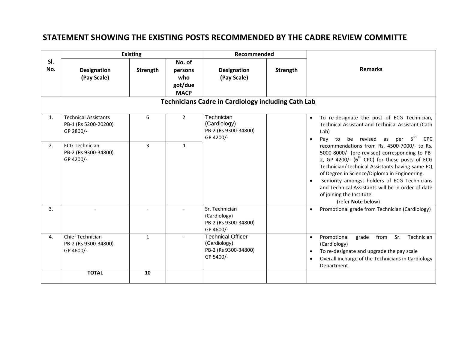## **STATEMENT SHOWING THE EXISTING POSTS RECOMMENDED BY THE CADRE REVIEW COMMITTE**

|                |                                                                  | <b>Existing</b> |                                                    | Recommended                                                                   |          |                                                                                                                                                                                                                                                                                                                                                                                                               |  |  |  |  |  |
|----------------|------------------------------------------------------------------|-----------------|----------------------------------------------------|-------------------------------------------------------------------------------|----------|---------------------------------------------------------------------------------------------------------------------------------------------------------------------------------------------------------------------------------------------------------------------------------------------------------------------------------------------------------------------------------------------------------------|--|--|--|--|--|
| SI.<br>No.     | <b>Designation</b><br>(Pay Scale)                                | Strength        | No. of<br>persons<br>who<br>got/due<br><b>MACP</b> | <b>Designation</b><br>(Pay Scale)                                             | Strength | <b>Remarks</b>                                                                                                                                                                                                                                                                                                                                                                                                |  |  |  |  |  |
|                | Technicians Cadre in Cardiology including Cath Lab               |                 |                                                    |                                                                               |          |                                                                                                                                                                                                                                                                                                                                                                                                               |  |  |  |  |  |
| $\mathbf{1}$ . | <b>Technical Assistants</b><br>PB-1 (Rs 5200-20200)<br>GP 2800/- | 6               | $\overline{2}$                                     | Technician<br>(Cardiology)<br>PB-2 (Rs 9300-34800)<br>GP 4200/-               |          | To re-designate the post of ECG Technician,<br>$\bullet$<br>Technical Assistant and Technical Assistant (Cath<br>Lab)<br>$5^{\text{th}}$<br>be revised as per<br>Pay to<br><b>CPC</b>                                                                                                                                                                                                                         |  |  |  |  |  |
| 2.             | <b>ECG Technician</b><br>PB-2 (Rs 9300-34800)<br>GP 4200/-       | $\overline{3}$  | $\mathbf{1}$                                       |                                                                               |          | recommendations from Rs. 4500-7000/- to Rs.<br>5000-8000/- (pre-revised) corresponding to PB-<br>2, GP 4200/- $(6^{th}$ CPC) for these posts of ECG<br>Technician/Technical Assistants having same EQ<br>of Degree in Science/Diploma in Engineering.<br>Seniority amongst holders of ECG Technicians<br>and Technical Assistants will be in order of date<br>of joining the Institute.<br>(refer Note below) |  |  |  |  |  |
| 3.             |                                                                  |                 |                                                    | Sr. Technician<br>(Cardiology)<br>PB-2 (Rs 9300-34800)<br>GP 4600/-           |          | Promotional grade from Technician (Cardiology)                                                                                                                                                                                                                                                                                                                                                                |  |  |  |  |  |
| $\mathbf{4}$ . | Chief Technician<br>PB-2 (Rs 9300-34800)<br>GP 4600/-            | $\mathbf{1}$    |                                                    | <b>Technical Officer</b><br>(Cardiology)<br>PB-2 (Rs 9300-34800)<br>GP 5400/- |          | Promotional<br>grade<br>from<br>Sr.<br>Technician<br>$\bullet$<br>(Cardiology)<br>To re-designate and upgrade the pay scale<br>Overall incharge of the Technicians in Cardiology<br>Department.                                                                                                                                                                                                               |  |  |  |  |  |
|                | <b>TOTAL</b>                                                     | 10              |                                                    |                                                                               |          |                                                                                                                                                                                                                                                                                                                                                                                                               |  |  |  |  |  |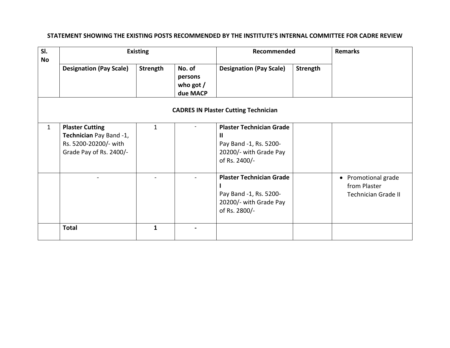| SI.<br>No                                   |                                                                                                       | <b>Existing</b> |                                              | Recommended                                                                                               | <b>Remarks</b> |                                                                   |  |  |  |
|---------------------------------------------|-------------------------------------------------------------------------------------------------------|-----------------|----------------------------------------------|-----------------------------------------------------------------------------------------------------------|----------------|-------------------------------------------------------------------|--|--|--|
|                                             | <b>Designation (Pay Scale)</b>                                                                        | <b>Strength</b> | No. of<br>persons<br>who got $/$<br>due MACP | <b>Designation (Pay Scale)</b>                                                                            | Strength       |                                                                   |  |  |  |
| <b>CADRES IN Plaster Cutting Technician</b> |                                                                                                       |                 |                                              |                                                                                                           |                |                                                                   |  |  |  |
| $\mathbf{1}$                                | <b>Plaster Cutting</b><br>Technician Pay Band -1,<br>Rs. 5200-20200/- with<br>Grade Pay of Rs. 2400/- | $\mathbf{1}$    |                                              | <b>Plaster Technician Grade</b><br>Ш<br>Pay Band -1, Rs. 5200-<br>20200/- with Grade Pay<br>of Rs. 2400/- |                |                                                                   |  |  |  |
|                                             |                                                                                                       |                 |                                              | <b>Plaster Technician Grade</b><br>Pay Band -1, Rs. 5200-<br>20200/- with Grade Pay<br>of Rs. 2800/-      |                | • Promotional grade<br>from Plaster<br><b>Technician Grade II</b> |  |  |  |
|                                             | <b>Total</b>                                                                                          | $\mathbf{1}$    |                                              |                                                                                                           |                |                                                                   |  |  |  |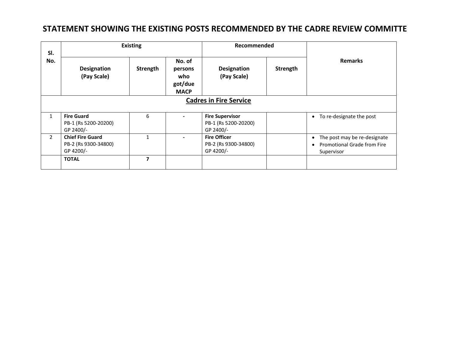### **STATEMENT SHOWING THE EXISTING POSTS RECOMMENDED BY THE CADRE REVIEW COMMITTE**

| SI.<br>No.     |                                                              | <b>Existing</b> |                                                    | Recommended                                                 |          |                                                                                  |
|----------------|--------------------------------------------------------------|-----------------|----------------------------------------------------|-------------------------------------------------------------|----------|----------------------------------------------------------------------------------|
|                | <b>Designation</b><br>(Pay Scale)                            | Strength        | No. of<br>persons<br>who<br>got/due<br><b>MACP</b> | <b>Designation</b><br>(Pay Scale)                           | Strength | <b>Remarks</b>                                                                   |
|                |                                                              |                 |                                                    | <b>Cadres in Fire Service</b>                               |          |                                                                                  |
| $\mathbf{1}$   | <b>Fire Guard</b><br>PB-1 (Rs 5200-20200)<br>GP 2400/-       | 6               |                                                    | <b>Fire Supervisor</b><br>PB-1 (Rs 5200-20200)<br>GP 2400/- |          | To re-designate the post<br>$\bullet$                                            |
| $\overline{2}$ | <b>Chief Fire Guard</b><br>PB-2 (Rs 9300-34800)<br>GP 4200/- | $\mathbf{1}$    |                                                    | <b>Fire Officer</b><br>PB-2 (Rs 9300-34800)<br>GP 4200/-    |          | The post may be re-designate<br><b>Promotional Grade from Fire</b><br>Supervisor |
|                | <b>TOTAL</b>                                                 | $\overline{z}$  |                                                    |                                                             |          |                                                                                  |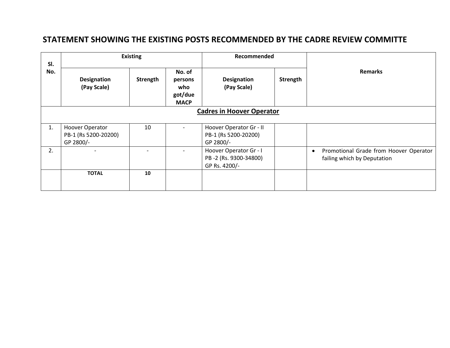### **STATEMENT SHOWING THE EXISTING POSTS RECOMMENDED BY THE CADRE REVIEW COMMITTE**

| SI.                              | <b>Existing</b>                                             |          |                                                    | Recommended                                                      |          |                                                                                    |  |
|----------------------------------|-------------------------------------------------------------|----------|----------------------------------------------------|------------------------------------------------------------------|----------|------------------------------------------------------------------------------------|--|
| No.                              | <b>Designation</b><br>(Pay Scale)                           | Strength | No. of<br>persons<br>who<br>got/due<br><b>MACP</b> | <b>Designation</b><br>(Pay Scale)                                | Strength | <b>Remarks</b>                                                                     |  |
| <b>Cadres in Hoover Operator</b> |                                                             |          |                                                    |                                                                  |          |                                                                                    |  |
| 1.                               | <b>Hoover Operator</b><br>PB-1 (Rs 5200-20200)<br>GP 2800/- | 10       | $\overline{\phantom{0}}$                           | Hoover Operator Gr - II<br>PB-1 (Rs 5200-20200)<br>GP 2800/-     |          |                                                                                    |  |
| 2.                               | $\overline{\phantom{0}}$                                    |          |                                                    | Hoover Operator Gr - I<br>PB-2 (Rs. 9300-34800)<br>GP Rs. 4200/- |          | Promotional Grade from Hoover Operator<br>$\bullet$<br>failing which by Deputation |  |
|                                  | <b>TOTAL</b>                                                | 10       |                                                    |                                                                  |          |                                                                                    |  |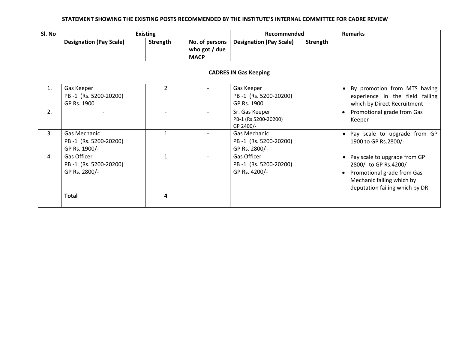| Sl. No | <b>Existing</b>                                        |                | Recommended                                    |                                                        | <b>Remarks</b> |                                                                                                                                                       |  |  |  |  |
|--------|--------------------------------------------------------|----------------|------------------------------------------------|--------------------------------------------------------|----------------|-------------------------------------------------------------------------------------------------------------------------------------------------------|--|--|--|--|
|        | <b>Designation (Pay Scale)</b>                         | Strength       | No. of persons<br>who got / due<br><b>MACP</b> | <b>Designation (Pay Scale)</b>                         | Strength       |                                                                                                                                                       |  |  |  |  |
|        | <b>CADRES IN Gas Keeping</b>                           |                |                                                |                                                        |                |                                                                                                                                                       |  |  |  |  |
| 1.     | Gas Keeper<br>PB-1 (Rs. 5200-20200)<br>GP Rs. 1900     | $\overline{2}$ |                                                | Gas Keeper<br>PB-1 (Rs. 5200-20200)<br>GP Rs. 1900     |                | • By promotion from MTS having<br>experience in the field failing<br>which by Direct Recruitment                                                      |  |  |  |  |
| 2.     |                                                        |                |                                                | Sr. Gas Keeper<br>PB-1 (Rs 5200-20200)<br>GP 2400/-    |                | Promotional grade from Gas<br>Keeper                                                                                                                  |  |  |  |  |
| 3.     | Gas Mechanic<br>PB-1 (Rs. 5200-20200)<br>GP Rs. 1900/- | $\mathbf{1}$   |                                                | Gas Mechanic<br>PB-1 (Rs. 5200-20200)<br>GP Rs. 2800/- |                | Pay scale to upgrade from GP<br>$\bullet$<br>1900 to GP Rs.2800/-                                                                                     |  |  |  |  |
| 4.     | Gas Officer<br>PB-1 (Rs. 5200-20200)<br>GP Rs. 2800/-  | $\mathbf{1}$   |                                                | Gas Officer<br>PB-1 (Rs. 5200-20200)<br>GP Rs. 4200/-  |                | • Pay scale to upgrade from GP<br>2800/- to GP Rs.4200/-<br>Promotional grade from Gas<br>Mechanic failing which by<br>deputation failing which by DR |  |  |  |  |
|        | <b>Total</b>                                           | 4              |                                                |                                                        |                |                                                                                                                                                       |  |  |  |  |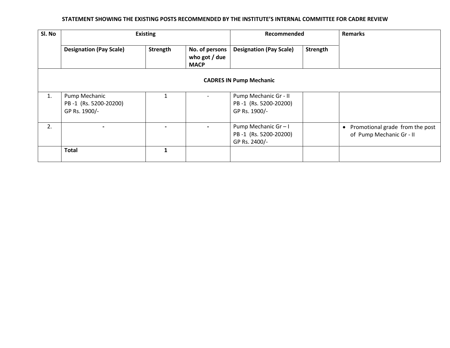| Sl. No |                                                         | <b>Existing</b> |                                                | Recommended                                                     |          | <b>Remarks</b>                                                           |
|--------|---------------------------------------------------------|-----------------|------------------------------------------------|-----------------------------------------------------------------|----------|--------------------------------------------------------------------------|
|        | <b>Designation (Pay Scale)</b>                          | Strength        | No. of persons<br>who got / due<br><b>MACP</b> | <b>Designation (Pay Scale)</b>                                  | Strength |                                                                          |
|        |                                                         |                 |                                                | <b>CADRES IN Pump Mechanic</b>                                  |          |                                                                          |
| 1.     | Pump Mechanic<br>PB-1 (Rs. 5200-20200)<br>GP Rs. 1900/- |                 |                                                | Pump Mechanic Gr - II<br>PB-1 (Rs. 5200-20200)<br>GP Rs. 1900/- |          |                                                                          |
| 2.     |                                                         |                 |                                                | Pump Mechanic Gr-I<br>PB-1 (Rs. 5200-20200)<br>GP Rs. 2400/-    |          | Promotional grade from the post<br>$\bullet$<br>of Pump Mechanic Gr - II |
|        | <b>Total</b>                                            | $\mathbf{1}$    |                                                |                                                                 |          |                                                                          |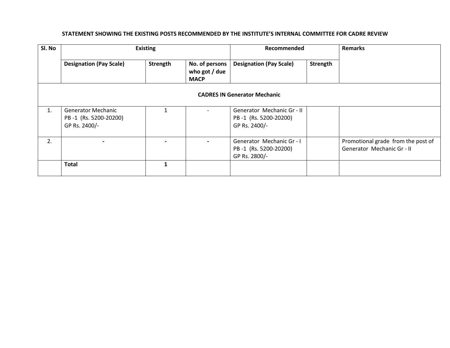| Sl. No | <b>Existing</b>                                                     |          | Recommended                                    |                                                                      | <b>Remarks</b> |                                                                  |
|--------|---------------------------------------------------------------------|----------|------------------------------------------------|----------------------------------------------------------------------|----------------|------------------------------------------------------------------|
|        | <b>Designation (Pay Scale)</b>                                      | Strength | No. of persons<br>who got / due<br><b>MACP</b> | <b>Designation (Pay Scale)</b>                                       | Strength       |                                                                  |
|        |                                                                     |          | <b>CADRES IN Generator Mechanic</b>            |                                                                      |                |                                                                  |
| 1.     | <b>Generator Mechanic</b><br>PB-1 (Rs. 5200-20200)<br>GP Rs. 2400/- |          |                                                | Generator Mechanic Gr - II<br>PB-1 (Rs. 5200-20200)<br>GP Rs. 2400/- |                |                                                                  |
| 2.     |                                                                     |          |                                                | Generator Mechanic Gr - I<br>PB-1 (Rs. 5200-20200)<br>GP Rs. 2800/-  |                | Promotional grade from the post of<br>Generator Mechanic Gr - II |
|        | <b>Total</b>                                                        | 1        |                                                |                                                                      |                |                                                                  |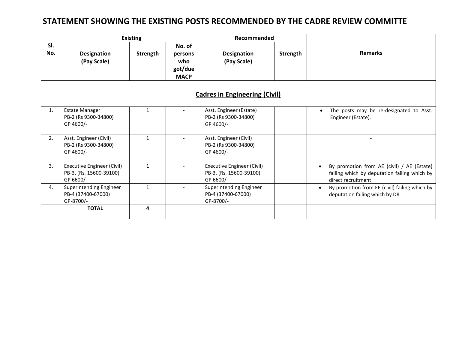### **STATEMENT SHOWING THE EXISTING POSTS RECOMMENDED BY THE CADRE REVIEW COMMITTE**

|            |                                                                           | <b>Existing</b> |                                                    | Recommended                                                               |          |                                                                                                                               |  |  |  |  |
|------------|---------------------------------------------------------------------------|-----------------|----------------------------------------------------|---------------------------------------------------------------------------|----------|-------------------------------------------------------------------------------------------------------------------------------|--|--|--|--|
| SI.<br>No. | <b>Designation</b><br>(Pay Scale)                                         | Strength        | No. of<br>persons<br>who<br>got/due<br><b>MACP</b> | Designation<br>(Pay Scale)                                                | Strength | <b>Remarks</b>                                                                                                                |  |  |  |  |
|            | <b>Cadres in Engineering (Civil)</b>                                      |                 |                                                    |                                                                           |          |                                                                                                                               |  |  |  |  |
| 1.         | <b>Estate Manager</b><br>PB-2 (Rs 9300-34800)<br>GP 4600/-                | $\mathbf{1}$    |                                                    | Asst. Engineer (Estate)<br>PB-2 (Rs 9300-34800)<br>GP 4600/-              |          | The posts may be re-designated to Asst.<br>Engineer (Estate).                                                                 |  |  |  |  |
| 2.         | Asst. Engineer (Civil)<br>PB-2 (Rs 9300-34800)<br>GP 4600/-               | $\mathbf{1}$    |                                                    | Asst. Engineer (Civil)<br>PB-2 (Rs 9300-34800)<br>GP 4600/-               |          |                                                                                                                               |  |  |  |  |
| 3.         | <b>Executive Engineer (Civil)</b><br>PB-3, (Rs. 15600-39100)<br>GP 6600/- | $\mathbf{1}$    |                                                    | <b>Executive Engineer (Civil)</b><br>PB-3, (Rs. 15600-39100)<br>GP 6600/- |          | By promotion from AE (civil) / AE (Estate)<br>$\bullet$<br>failing which by deputation failing which by<br>direct recruitment |  |  |  |  |
| 4.         | Superintending Engineer<br>PB-4 (37400-67000)<br>GP-8700/-                | $\mathbf{1}$    |                                                    | Superintending Engineer<br>PB-4 (37400-67000)<br>GP-8700/-                |          | By promotion from EE (civil) failing which by<br>deputation failing which by DR                                               |  |  |  |  |
|            | <b>TOTAL</b>                                                              | 4               |                                                    |                                                                           |          |                                                                                                                               |  |  |  |  |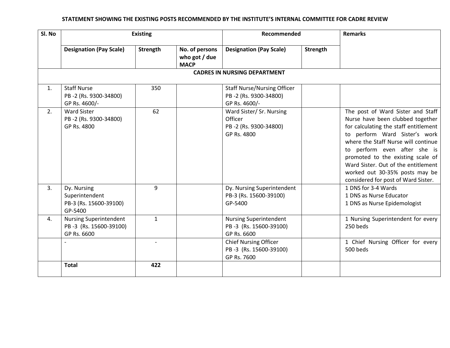| Sl. No |                                                                        | <b>Existing</b> |                                                | Recommended                                                                  |          | <b>Remarks</b>                                                                                                                                                                                                                                                                                                                                                              |  |  |  |  |
|--------|------------------------------------------------------------------------|-----------------|------------------------------------------------|------------------------------------------------------------------------------|----------|-----------------------------------------------------------------------------------------------------------------------------------------------------------------------------------------------------------------------------------------------------------------------------------------------------------------------------------------------------------------------------|--|--|--|--|
|        | <b>Designation (Pay Scale)</b>                                         | Strength        | No. of persons<br>who got / due<br><b>MACP</b> | <b>Designation (Pay Scale)</b>                                               | Strength |                                                                                                                                                                                                                                                                                                                                                                             |  |  |  |  |
|        | <b>CADRES IN NURSING DEPARTMENT</b>                                    |                 |                                                |                                                                              |          |                                                                                                                                                                                                                                                                                                                                                                             |  |  |  |  |
| 1.     | <b>Staff Nurse</b><br>PB-2 (Rs. 9300-34800)<br>GP Rs. 4600/-           | 350             |                                                | <b>Staff Nurse/Nursing Officer</b><br>PB-2 (Rs. 9300-34800)<br>GP Rs. 4600/- |          |                                                                                                                                                                                                                                                                                                                                                                             |  |  |  |  |
| 2.     | <b>Ward Sister</b><br>PB-2 (Rs. 9300-34800)<br>GP Rs. 4800             | 62              |                                                | Ward Sister/ Sr. Nursing<br>Officer<br>PB-2 (Rs. 9300-34800)<br>GP Rs. 4800  |          | The post of Ward Sister and Staff<br>Nurse have been clubbed together<br>for calculating the staff entitlement<br>to perform Ward Sister's work<br>where the Staff Nurse will continue<br>to perform even after she is<br>promoted to the existing scale of<br>Ward Sister. Out of the entitlement<br>worked out 30-35% posts may be<br>considered for post of Ward Sister. |  |  |  |  |
| 3.     | Dy. Nursing<br>Superintendent<br>PB-3 (Rs. 15600-39100)<br>GP-5400     | 9               |                                                | Dy. Nursing Superintendent<br>PB-3 (Rs. 15600-39100)<br>GP-5400              |          | 1 DNS for 3-4 Wards<br>1 DNS as Nurse Educator<br>1 DNS as Nurse Epidemologist                                                                                                                                                                                                                                                                                              |  |  |  |  |
| 4.     | <b>Nursing Superintendent</b><br>PB-3 (Rs. 15600-39100)<br>GP Rs. 6600 | $\mathbf{1}$    |                                                | <b>Nursing Superintendent</b><br>PB-3 (Rs. 15600-39100)<br>GP Rs. 6600       |          | 1 Nursing Superintendent for every<br>250 beds                                                                                                                                                                                                                                                                                                                              |  |  |  |  |
|        |                                                                        |                 |                                                | <b>Chief Nursing Officer</b><br>PB-3 (Rs. 15600-39100)<br>GP Rs. 7600        |          | 1 Chief Nursing Officer for every<br>500 beds                                                                                                                                                                                                                                                                                                                               |  |  |  |  |
|        | <b>Total</b>                                                           | 422             |                                                |                                                                              |          |                                                                                                                                                                                                                                                                                                                                                                             |  |  |  |  |